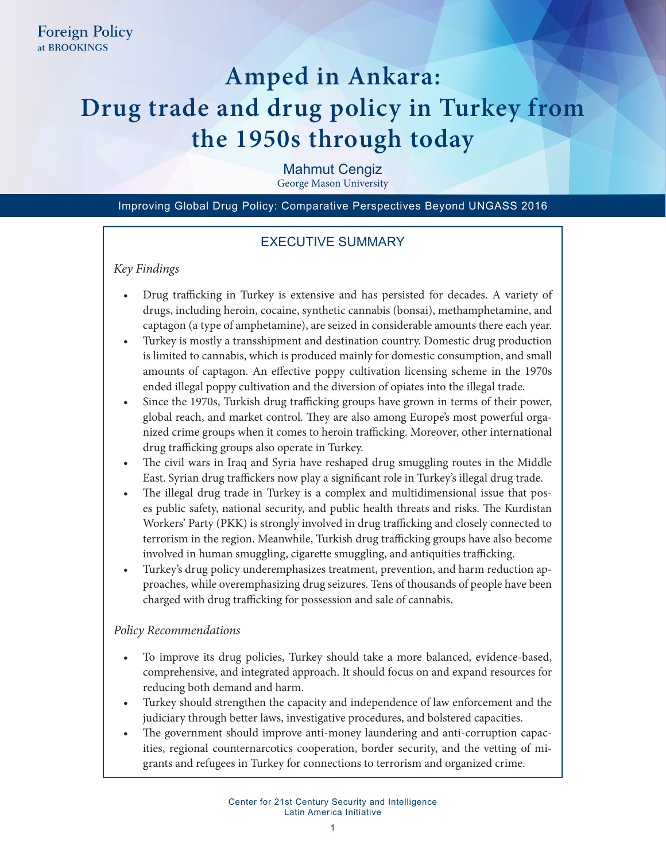# **Amped in Ankara: Drug trade and drug policy in Turkey from the 1950s through today**

Mahmut Cengiz

George Mason University

Improving Global Drug Policy: Comparative Perspectives Beyond UNGASS 2016

## EXECUTIVE SUMMARY

## *Key Findings*

- Drug trafficking in Turkey is extensive and has persisted for decades. A variety of drugs, including heroin, cocaine, synthetic cannabis (bonsai), methamphetamine, and captagon (a type of amphetamine), are seized in considerable amounts there each year.
- Turkey is mostly a transshipment and destination country. Domestic drug production is limited to cannabis, which is produced mainly for domestic consumption, and small amounts of captagon. An effective poppy cultivation licensing scheme in the 1970s ended illegal poppy cultivation and the diversion of opiates into the illegal trade.
- Since the 1970s, Turkish drug trafficking groups have grown in terms of their power, global reach, and market control. They are also among Europe's most powerful organized crime groups when it comes to heroin trafficking. Moreover, other international drug trafficking groups also operate in Turkey.
- The civil wars in Iraq and Syria have reshaped drug smuggling routes in the Middle East. Syrian drug traffickers now play a significant role in Turkey's illegal drug trade.
- The illegal drug trade in Turkey is a complex and multidimensional issue that poses public safety, national security, and public health threats and risks. The Kurdistan Workers' Party (PKK) is strongly involved in drug trafficking and closely connected to terrorism in the region. Meanwhile, Turkish drug trafficking groups have also become involved in human smuggling, cigarette smuggling, and antiquities trafficking.
- Turkey's drug policy underemphasizes treatment, prevention, and harm reduction approaches, while overemphasizing drug seizures. Tens of thousands of people have been charged with drug trafficking for possession and sale of cannabis.

## *Policy Recommendations*

- To improve its drug policies, Turkey should take a more balanced, evidence-based, comprehensive, and integrated approach. It should focus on and expand resources for reducing both demand and harm.
- Turkey should strengthen the capacity and independence of law enforcement and the judiciary through better laws, investigative procedures, and bolstered capacities.
- The government should improve anti-money laundering and anti-corruption capacities, regional counternarcotics cooperation, border security, and the vetting of migrants and refugees in Turkey for connections to terrorism and organized crime.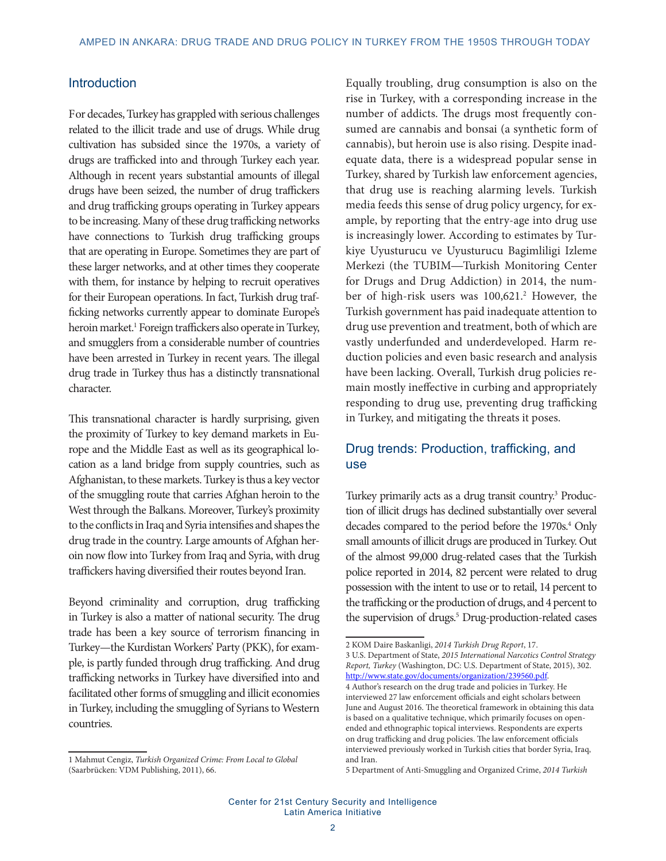## **Introduction**

For decades, Turkey has grappled with serious challenges related to the illicit trade and use of drugs. While drug cultivation has subsided since the 1970s, a variety of drugs are trafficked into and through Turkey each year. Although in recent years substantial amounts of illegal drugs have been seized, the number of drug traffickers and drug trafficking groups operating in Turkey appears to be increasing. Many of these drug trafficking networks have connections to Turkish drug trafficking groups that are operating in Europe. Sometimes they are part of these larger networks, and at other times they cooperate with them, for instance by helping to recruit operatives for their European operations. In fact, Turkish drug trafficking networks currently appear to dominate Europe's heroin market.<sup>1</sup> Foreign traffickers also operate in Turkey, and smugglers from a considerable number of countries have been arrested in Turkey in recent years. The illegal drug trade in Turkey thus has a distinctly transnational character.

This transnational character is hardly surprising, given the proximity of Turkey to key demand markets in Europe and the Middle East as well as its geographical location as a land bridge from supply countries, such as Afghanistan, to these markets. Turkey is thus a key vector of the smuggling route that carries Afghan heroin to the West through the Balkans. Moreover, Turkey's proximity to the conflicts in Iraq and Syria intensifies and shapes the drug trade in the country. Large amounts of Afghan heroin now flow into Turkey from Iraq and Syria, with drug traffickers having diversified their routes beyond Iran.

Beyond criminality and corruption, drug trafficking in Turkey is also a matter of national security. The drug trade has been a key source of terrorism financing in Turkey—the Kurdistan Workers' Party (PKK), for example, is partly funded through drug trafficking. And drug trafficking networks in Turkey have diversified into and facilitated other forms of smuggling and illicit economies in Turkey, including the smuggling of Syrians to Western countries.

Equally troubling, drug consumption is also on the rise in Turkey, with a corresponding increase in the number of addicts. The drugs most frequently consumed are cannabis and bonsai (a synthetic form of cannabis), but heroin use is also rising. Despite inadequate data, there is a widespread popular sense in Turkey, shared by Turkish law enforcement agencies, that drug use is reaching alarming levels. Turkish media feeds this sense of drug policy urgency, for example, by reporting that the entry-age into drug use is increasingly lower. According to estimates by Turkiye Uyusturucu ve Uyusturucu Bagimliligi Izleme Merkezi (the TUBIM**—**Turkish Monitoring Center for Drugs and Drug Addiction) in 2014, the number of high-risk users was 100,621.<sup>2</sup> However, the Turkish government has paid inadequate attention to drug use prevention and treatment, both of which are vastly underfunded and underdeveloped. Harm reduction policies and even basic research and analysis have been lacking. Overall, Turkish drug policies remain mostly ineffective in curbing and appropriately responding to drug use, preventing drug trafficking in Turkey, and mitigating the threats it poses.

## Drug trends: Production, trafficking, and use

Turkey primarily acts as a drug transit country.<sup>3</sup> Production of illicit drugs has declined substantially over several decades compared to the period before the 1970s.<sup>4</sup> Only small amounts of illicit drugs are produced in Turkey. Out of the almost 99,000 drug-related cases that the Turkish police reported in 2014, 82 percent were related to drug possession with the intent to use or to retail, 14 percent to the trafficking or the production of drugs, and 4 percent to the supervision of drugs.<sup>5</sup> Drug-production-related cases

<sup>1</sup> Mahmut Cengiz, *Turkish Organized Crime: From Local to Global* (Saarbrücken: VDM Publishing, 2011), 66.

<sup>2</sup> KOM Daire Baskanligi, *2014 Turkish Drug Report*, 17.

<sup>3</sup> U.S. Department of State, *2015 International Narcotics Control Strategy Report, Turkey* (Washington, DC: U.S. Department of State, 2015), 302. <http://www.state.gov/documents/organization/239560.pdf>. 4 Author's research on the drug trade and policies in Turkey. He

interviewed 27 law enforcement officials and eight scholars between June and August 2016. The theoretical framework in obtaining this data is based on a qualitative technique, which primarily focuses on openended and ethnographic topical interviews. Respondents are experts on drug trafficking and drug policies. The law enforcement officials interviewed previously worked in Turkish cities that border Syria, Iraq, and Iran.

<sup>5</sup> Department of Anti-Smuggling and Organized Crime, *2014 Turkish*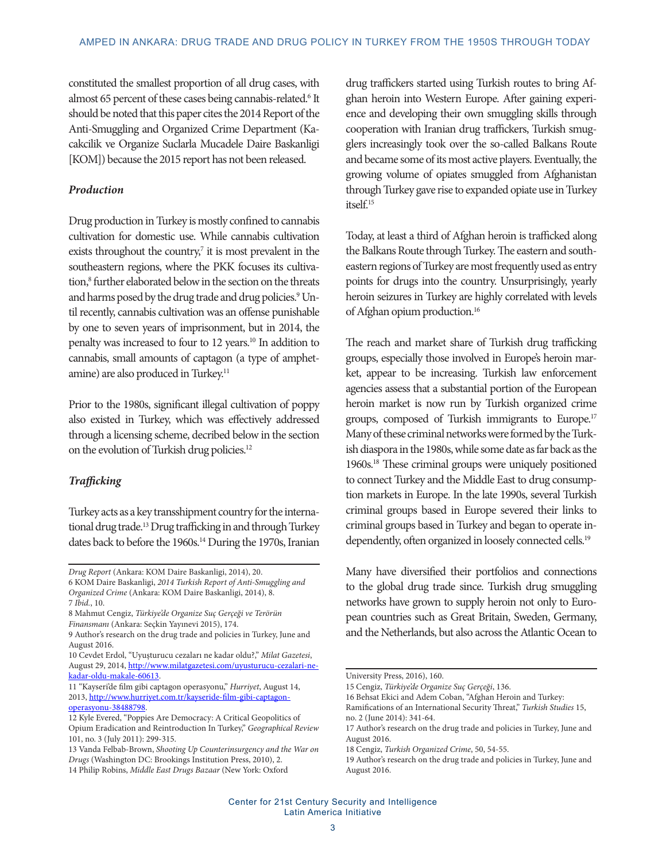constituted the smallest proportion of all drug cases, with almost 65 percent of these cases being cannabis-related.<sup>6</sup> It should be noted that this paper cites the 2014 Report of the Anti-Smuggling and Organized Crime Department (Kacakcilik ve Organize Suclarla Mucadele Daire Baskanligi [KOM]) because the 2015 report has not been released.

#### *Production*

Drug production in Turkey is mostly confined to cannabis cultivation for domestic use. While cannabis cultivation exists throughout the country, $7$  it is most prevalent in the southeastern regions, where the PKK focuses its cultivation,<sup>8</sup> further elaborated below in the section on the threats and harms posed by the drug trade and drug policies.<sup>9</sup> Until recently, cannabis cultivation was an offense punishable by one to seven years of imprisonment, but in 2014, the penalty was increased to four to 12 years.10 In addition to cannabis, small amounts of captagon (a type of amphetamine) are also produced in Turkey.<sup>11</sup>

Prior to the 1980s, significant illegal cultivation of poppy also existed in Turkey, which was effectively addressed through a licensing scheme, decribed below in the section on the evolution of Turkish drug policies.<sup>12</sup>

## *Trafficking*

Turkey acts as a key transshipment country for the international drug trade.13 Drug trafficking in and through Turkey dates back to before the 1960s.<sup>14</sup> During the 1970s, Iranian

drug traffickers started using Turkish routes to bring Afghan heroin into Western Europe. After gaining experience and developing their own smuggling skills through cooperation with Iranian drug traffickers, Turkish smugglers increasingly took over the so-called Balkans Route and became some of its most active players. Eventually, the growing volume of opiates smuggled from Afghanistan through Turkey gave rise to expanded opiate use in Turkey itself.<sup>15</sup>

Today, at least a third of Afghan heroin is trafficked along the Balkans Route through Turkey. The eastern and southeastern regions of Turkey are most frequently used as entry points for drugs into the country. Unsurprisingly, yearly heroin seizures in Turkey are highly correlated with levels of Afghan opium production.16

The reach and market share of Turkish drug trafficking groups, especially those involved in Europe's heroin market, appear to be increasing. Turkish law enforcement agencies assess that a substantial portion of the European heroin market is now run by Turkish organized crime groups, composed of Turkish immigrants to Europe.17 Many of these criminal networks were formed by the Turkish diaspora in the 1980s, while some date as far back as the 1960s.18 These criminal groups were uniquely positioned to connect Turkey and the Middle East to drug consumption markets in Europe. In the late 1990s, several Turkish criminal groups based in Europe severed their links to criminal groups based in Turkey and began to operate independently, often organized in loosely connected cells.<sup>19</sup>

Many have diversified their portfolios and connections to the global drug trade since. Turkish drug smuggling networks have grown to supply heroin not only to European countries such as Great Britain, Sweden, Germany, and the Netherlands, but also across the Atlantic Ocean to

*Drug Report* (Ankara: KOM Daire Baskanligi, 2014), 20.

<sup>6</sup> KOM Daire Baskanligi, *2014 Turkish Report of Anti-Smuggling and Organized Crime* (Ankara: KOM Daire Baskanligi, 2014), 8. 7 *Ibid.*, 10.

<sup>8</sup> Mahmut Cengiz, *Türkiye'de Organize Suç Gerçeği ve Terörün Finansmanı* (Ankara: Seçkin Yayınevi 2015), 174.

<sup>9</sup> Author's research on the drug trade and policies in Turkey, June and August 2016.

<sup>10</sup> Cevdet Erdol, "Uyuşturucu cezaları ne kadar oldu?," *Milat Gazetesi*, August 29, 2014, [http://www.milatgazetesi.com/uyusturucu-cezalari-ne](http://www.milatgazetesi.com/uyusturucu-cezalari-ne-kadar-oldu-makale-60613)[kadar-oldu-makale-60613](http://www.milatgazetesi.com/uyusturucu-cezalari-ne-kadar-oldu-makale-60613).

<sup>11 &</sup>quot;Kayseri'de film gibi captagon operasyonu," *Hurriyet*, August 14, 2013, [http://www.hurriyet.com.tr/kayseride-film-gibi-captagon](http://www.hurriyet.com.tr/kayseride-film-gibi-captagon-operasyonu-38488798)[operasyonu-38488798.](http://www.hurriyet.com.tr/kayseride-film-gibi-captagon-operasyonu-38488798)

<sup>12</sup> Kyle Evered, "Poppies Are Democracy: A Critical Geopolitics of Opium Eradication and Reintroduction In Turkey," *Geographical Review* 101, no. 3 (July 2011): 299-315.

<sup>13</sup> Vanda Felbab-Brown, *Shooting Up Counterinsurgency and the War on Drugs* (Washington DC: Brookings Institution Press, 2010), 2. 14 Philip Robins, *Middle East Drugs Bazaar* (New York: Oxford

University Press, 2016), 160.

<sup>15</sup> Cengiz, *Türkiye'de Organize Suç Gerçeği*, 136.

<sup>16</sup> Behsat Ekici and Adem Coban, "Afghan Heroin and Turkey:

Ramifications of an International Security Threat," *Turkish Studies* 15, no. 2 (June 2014): 341-64.

<sup>17</sup> Author's research on the drug trade and policies in Turkey, June and August 2016.

<sup>18</sup> Cengiz, *Turkish Organized Crime*, 50, 54-55.

<sup>19</sup> Author's research on the drug trade and policies in Turkey, June and August 2016.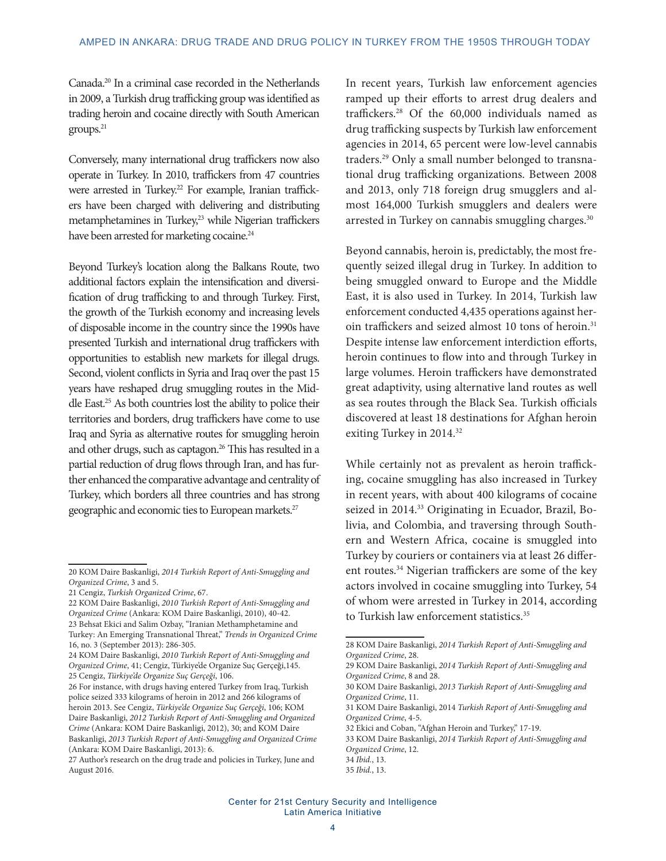Canada.20 In a criminal case recorded in the Netherlands in 2009, a Turkish drug trafficking group was identified as trading heroin and cocaine directly with South American groups.<sup>21</sup>

Conversely, many international drug traffickers now also operate in Turkey. In 2010, traffickers from 47 countries were arrested in Turkey.<sup>22</sup> For example, Iranian traffickers have been charged with delivering and distributing metamphetamines in Turkey,<sup>23</sup> while Nigerian traffickers have been arrested for marketing cocaine.<sup>24</sup>

Beyond Turkey's location along the Balkans Route, two additional factors explain the intensification and diversification of drug trafficking to and through Turkey. First, the growth of the Turkish economy and increasing levels of disposable income in the country since the 1990s have presented Turkish and international drug traffickers with opportunities to establish new markets for illegal drugs. Second, violent conflicts in Syria and Iraq over the past 15 years have reshaped drug smuggling routes in the Middle East.25 As both countries lost the ability to police their territories and borders, drug traffickers have come to use Iraq and Syria as alternative routes for smuggling heroin and other drugs, such as captagon.<sup>26</sup> This has resulted in a partial reduction of drug flows through Iran, and has further enhanced the comparative advantage and centrality of Turkey, which borders all three countries and has strong geographic and economic ties to European markets.<sup>27</sup>

In recent years, Turkish law enforcement agencies ramped up their efforts to arrest drug dealers and traffickers.28 Of the 60,000 individuals named as drug trafficking suspects by Turkish law enforcement agencies in 2014, 65 percent were low-level cannabis traders.29 Only a small number belonged to transnational drug trafficking organizations. Between 2008 and 2013, only 718 foreign drug smugglers and almost 164,000 Turkish smugglers and dealers were arrested in Turkey on cannabis smuggling charges.<sup>30</sup>

Beyond cannabis, heroin is, predictably, the most frequently seized illegal drug in Turkey. In addition to being smuggled onward to Europe and the Middle East, it is also used in Turkey. In 2014, Turkish law enforcement conducted 4,435 operations against heroin traffickers and seized almost 10 tons of heroin.<sup>31</sup> Despite intense law enforcement interdiction efforts, heroin continues to flow into and through Turkey in large volumes. Heroin traffickers have demonstrated great adaptivity, using alternative land routes as well as sea routes through the Black Sea. Turkish officials discovered at least 18 destinations for Afghan heroin exiting Turkey in 2014.<sup>32</sup>

While certainly not as prevalent as heroin trafficking, cocaine smuggling has also increased in Turkey in recent years, with about 400 kilograms of cocaine seized in 2014.<sup>33</sup> Originating in Ecuador, Brazil, Bolivia, and Colombia, and traversing through Southern and Western Africa, cocaine is smuggled into Turkey by couriers or containers via at least 26 different routes.<sup>34</sup> Nigerian traffickers are some of the key actors involved in cocaine smuggling into Turkey, 54 of whom were arrested in Turkey in 2014, according to Turkish law enforcement statistics.<sup>35</sup>

<sup>20</sup> KOM Daire Baskanligi, *2014 Turkish Report of Anti-Smuggling and Organized Crime*, 3 and 5.

<sup>21</sup> Cengiz, *Turkish Organized Crime*, 67.

<sup>22</sup> KOM Daire Baskanligi, *2010 Turkish Report of Anti-Smuggling and Organized Crime* (Ankara: KOM Daire Baskanligi, 2010), 40-42. 23 Behsat Ekici and Salim Ozbay, "Iranian Methamphetamine and Turkey: An Emerging Transnational Threat," *Trends in Organized Crime*  16, no. 3 (September 2013): 286-305.

<sup>24</sup> KOM Daire Baskanligi, *2010 Turkish Report of Anti-Smuggling and Organized Crime*, 41; Cengiz, Türkiye'de Organize Suç Gerçeği,145. 25 Cengiz, *Türkiye'de Organize Suç Gerçeği*, 106.

<sup>26</sup> For instance, with drugs having entered Turkey from Iraq, Turkish police seized 333 kilograms of heroin in 2012 and 266 kilograms of heroin 2013. See Cengiz, *Türkiye'de Organize Suç Gerçeği*, 106; KOM Daire Baskanligi, *2012 Turkish Report of Anti-Smuggling and Organized Crime* (Ankara: KOM Daire Baskanligi, 2012), 30; and KOM Daire Baskanligi, *2013 Turkish Report of Anti-Smuggling and Organized Crime* (Ankara: KOM Daire Baskanligi, 2013): 6.

<sup>27</sup> Author's research on the drug trade and policies in Turkey, June and August 2016.

<sup>28</sup> KOM Daire Baskanligi, *2014 Turkish Report of Anti-Smuggling and Organized Crime*, 28.

<sup>29</sup> KOM Daire Baskanligi, *2014 Turkish Report of Anti-Smuggling and Organized Crime*, 8 and 28.

<sup>30</sup> KOM Daire Baskanligi, *2013 Turkish Report of Anti-Smuggling and Organized Crime*, 11.

<sup>31</sup> KOM Daire Baskanligi, 2014 *Turkish Report of Anti-Smuggling and Organized Crime*, 4-5.

<sup>32</sup> Ekici and Coban, "Afghan Heroin and Turkey," 17-19.

<sup>33</sup> KOM Daire Baskanligi, *2014 Turkish Report of Anti-Smuggling and Organized Crime*, 12.

<sup>34</sup> *Ibid.*, 13. 35 *Ibid.*, 13.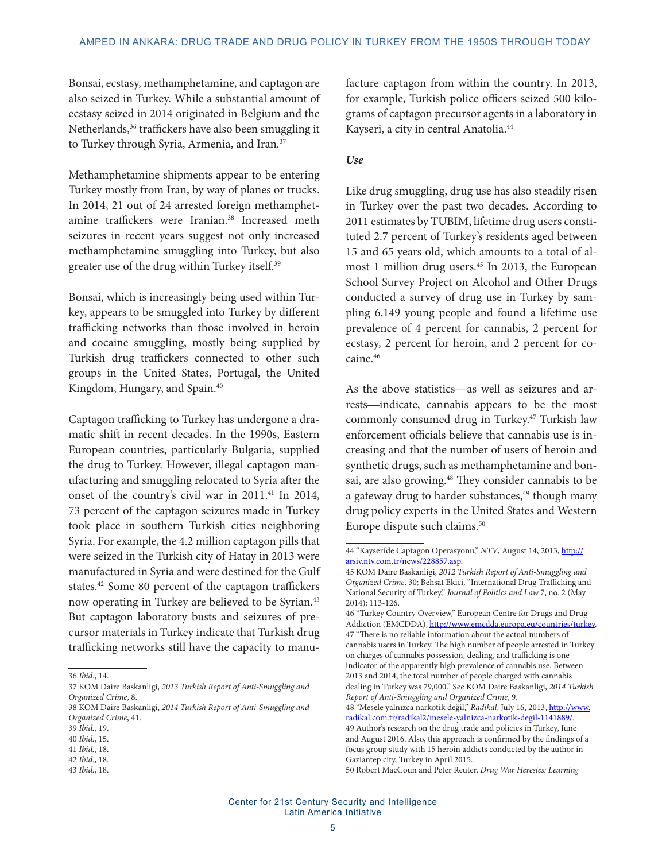Bonsai, ecstasy, methamphetamine, and captagon are also seized in Turkey. While a substantial amount of ecstasy seized in 2014 originated in Belgium and the Netherlands,<sup>36</sup> traffickers have also been smuggling it to Turkey through Syria, Armenia, and Iran.<sup>37</sup>

Methamphetamine shipments appear to be entering Turkey mostly from Iran, by way of planes or trucks. In 2014, 21 out of 24 arrested foreign methamphetamine traffickers were Iranian.<sup>38</sup> Increased meth seizures in recent years suggest not only increased methamphetamine smuggling into Turkey, but also greater use of the drug within Turkey itself.39

Bonsai, which is increasingly being used within Turkey, appears to be smuggled into Turkey by different trafficking networks than those involved in heroin and cocaine smuggling, mostly being supplied by Turkish drug traffickers connected to other such groups in the United States, Portugal, the United Kingdom, Hungary, and Spain.<sup>40</sup>

Captagon trafficking to Turkey has undergone a dramatic shift in recent decades. In the 1990s, Eastern European countries, particularly Bulgaria, supplied the drug to Turkey. However, illegal captagon manufacturing and smuggling relocated to Syria after the onset of the country's civil war in 2011.<sup>41</sup> In 2014, 73 percent of the captagon seizures made in Turkey took place in southern Turkish cities neighboring Syria. For example, the 4.2 million captagon pills that were seized in the Turkish city of Hatay in 2013 were manufactured in Syria and were destined for the Gulf states.<sup>42</sup> Some 80 percent of the captagon traffickers now operating in Turkey are believed to be Syrian.<sup>43</sup> But captagon laboratory busts and seizures of precursor materials in Turkey indicate that Turkish drug trafficking networks still have the capacity to manu-

43 *Ibid.*, 18.

facture captagon from within the country. In 2013, for example, Turkish police officers seized 500 kilograms of captagon precursor agents in a laboratory in Kayseri, a city in central Anatolia.44

#### *Use*

Like drug smuggling, drug use has also steadily risen in Turkey over the past two decades. According to 2011 estimates by TUBIM, lifetime drug users constituted 2.7 percent of Turkey's residents aged between 15 and 65 years old, which amounts to a total of almost 1 million drug users.<sup>45</sup> In 2013, the European School Survey Project on Alcohol and Other Drugs conducted a survey of drug use in Turkey by sampling 6,149 young people and found a lifetime use prevalence of 4 percent for cannabis, 2 percent for ecstasy, 2 percent for heroin, and 2 percent for cocaine.46

As the above statistics**—**as well as seizures and arrests**—**indicate, cannabis appears to be the most commonly consumed drug in Turkey.47 Turkish law enforcement officials believe that cannabis use is increasing and that the number of users of heroin and synthetic drugs, such as methamphetamine and bonsai, are also growing.<sup>48</sup> They consider cannabis to be a gateway drug to harder substances,<sup>49</sup> though many drug policy experts in the United States and Western Europe dispute such claims.<sup>50</sup>

48 "Mesele yalnızca narkotik değil," *Radikal*, July 16, 2013, [http://www.](http://www.radikal.com.tr/radikal2/mesele-yalnizca-narkotik-degil-1141889/) [radikal.com.tr/radikal2/mesele-yalnizca-narkotik-degil-1141889/](http://www.radikal.com.tr/radikal2/mesele-yalnizca-narkotik-degil-1141889/). 49 Author's research on the drug trade and policies in Turkey, June and August 2016. Also, this approach is confirmed by the findings of a focus group study with 15 heroin addicts conducted by the author in Gaziantep city, Turkey in April 2015.

50 Robert MacCoun and Peter Reuter, *Drug War Heresies: Learning* 

<sup>36</sup> *Ibid.*, 14.

<sup>37</sup> KOM Daire Baskanligi, *2013 Turkish Report of Anti-Smuggling and Organized Crime*, 8.

<sup>38</sup> KOM Daire Baskanligi, *2014 Turkish Report of Anti-Smuggling and Organized Crime*, 41.

<sup>39</sup> *Ibid.*, 19.

<sup>40</sup> *Ibid.*, 15. 41 *Ibid.*, 18.

<sup>42</sup> *Ibid.*, 18.

<sup>44 &</sup>quot;Kayseri'de Captagon Operasyonu," NTV, August 14, 2013, [http://](http://arsiv.ntv.com.tr/news/228857.asp) [arsiv.ntv.com.tr/news/228857.asp.](http://arsiv.ntv.com.tr/news/228857.asp)

<sup>45</sup> KOM Daire Baskanligi, *2012 Turkish Report of Anti-Smuggling and Organized Crime*, 30; Behsat Ekici, "International Drug Trafficking and National Security of Turkey," *Journal of Politics and Law* 7, no. 2 (May 2014): 113-126.

<sup>46 &</sup>quot;Turkey Country Overview," European Centre for Drugs and Drug Addiction (EMCDDA),<http://www.emcdda.europa.eu/countries/turkey>. 47 "There is no reliable information about the actual numbers of cannabis users in Turkey. The high number of people arrested in Turkey on charges of cannabis possession, dealing, and trafficking is one indicator of the apparently high prevalence of cannabis use. Between 2013 and 2014, the total number of people charged with cannabis dealing in Turkey was 79,000." See KOM Daire Baskanligi, *2014 Turkish Report of Anti-Smuggling and Organized Crime*, 9.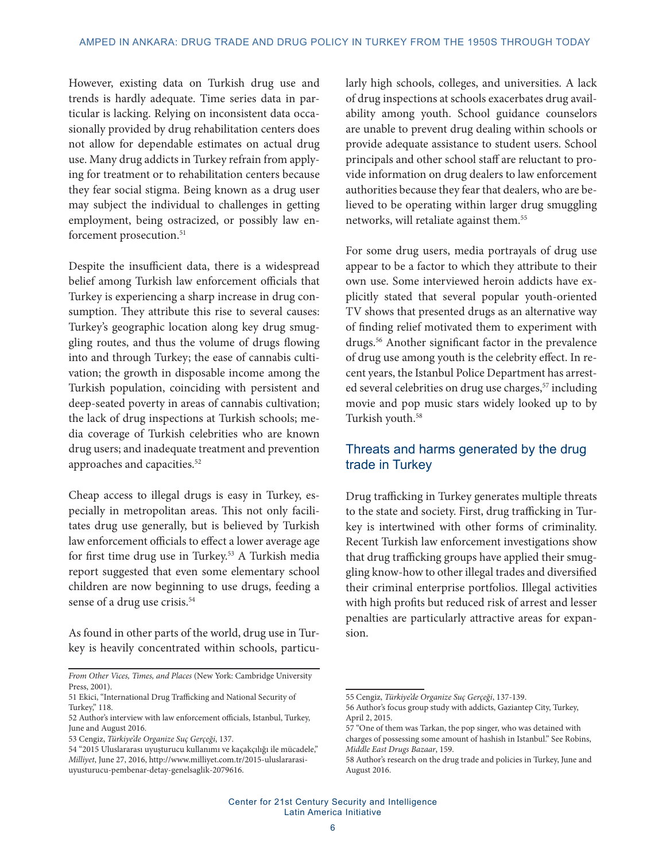However, existing data on Turkish drug use and trends is hardly adequate. Time series data in particular is lacking. Relying on inconsistent data occasionally provided by drug rehabilitation centers does not allow for dependable estimates on actual drug use. Many drug addicts in Turkey refrain from applying for treatment or to rehabilitation centers because they fear social stigma. Being known as a drug user may subject the individual to challenges in getting employment, being ostracized, or possibly law enforcement prosecution.<sup>51</sup>

Despite the insufficient data, there is a widespread belief among Turkish law enforcement officials that Turkey is experiencing a sharp increase in drug consumption. They attribute this rise to several causes: Turkey's geographic location along key drug smuggling routes, and thus the volume of drugs flowing into and through Turkey; the ease of cannabis cultivation; the growth in disposable income among the Turkish population, coinciding with persistent and deep-seated poverty in areas of cannabis cultivation; the lack of drug inspections at Turkish schools; media coverage of Turkish celebrities who are known drug users; and inadequate treatment and prevention approaches and capacities.52

Cheap access to illegal drugs is easy in Turkey, especially in metropolitan areas. This not only facilitates drug use generally, but is believed by Turkish law enforcement officials to effect a lower average age for first time drug use in Turkey.<sup>53</sup> A Turkish media report suggested that even some elementary school children are now beginning to use drugs, feeding a sense of a drug use crisis.<sup>54</sup>

As found in other parts of the world, drug use in Turkey is heavily concentrated within schools, particu-

*From Other Vices, Times, and Places* (New York: Cambridge University Press, 2001).

larly high schools, colleges, and universities. A lack of drug inspections at schools exacerbates drug availability among youth. School guidance counselors are unable to prevent drug dealing within schools or provide adequate assistance to student users. School principals and other school staff are reluctant to provide information on drug dealers to law enforcement authorities because they fear that dealers, who are believed to be operating within larger drug smuggling networks, will retaliate against them.55

For some drug users, media portrayals of drug use appear to be a factor to which they attribute to their own use. Some interviewed heroin addicts have explicitly stated that several popular youth-oriented TV shows that presented drugs as an alternative way of finding relief motivated them to experiment with drugs.56 Another significant factor in the prevalence of drug use among youth is the celebrity effect. In recent years, the Istanbul Police Department has arrested several celebrities on drug use charges,<sup>57</sup> including movie and pop music stars widely looked up to by Turkish youth.<sup>58</sup>

## Threats and harms generated by the drug trade in Turkey

Drug trafficking in Turkey generates multiple threats to the state and society. First, drug trafficking in Turkey is intertwined with other forms of criminality. Recent Turkish law enforcement investigations show that drug trafficking groups have applied their smuggling know-how to other illegal trades and diversified their criminal enterprise portfolios. Illegal activities with high profits but reduced risk of arrest and lesser penalties are particularly attractive areas for expansion.

Center for 21st Century Security and Intelligence Latin America Initiative

<sup>51</sup> Ekici, "International Drug Trafficking and National Security of Turkey," 118.

<sup>52</sup> Author's interview with law enforcement officials, Istanbul, Turkey, June and August 2016.

<sup>53</sup> Cengiz, *Türkiye'de Organize Suç Gerçeği*, 137.

<sup>54 &</sup>quot;2015 Uluslararası uyuşturucu kullanımı ve kaçakçılığı ile mücadele," *Milliyet*, June 27, 2016, http://www.milliyet.com.tr/2015-uluslararasiuyusturucu-pembenar-detay-genelsaglik-2079616.

<sup>55</sup> Cengiz, *Türkiye'de Organize Suç Gerçeği*, 137-139.

<sup>56</sup> Author's focus group study with addicts, Gaziantep City, Turkey, April 2, 2015.

<sup>57 &</sup>quot;One of them was Tarkan, the pop singer, who was detained with charges of possessing some amount of hashish in Istanbul." See Robins, *Middle East Drugs Bazaar*, 159.

<sup>58</sup> Author's research on the drug trade and policies in Turkey, June and August 2016.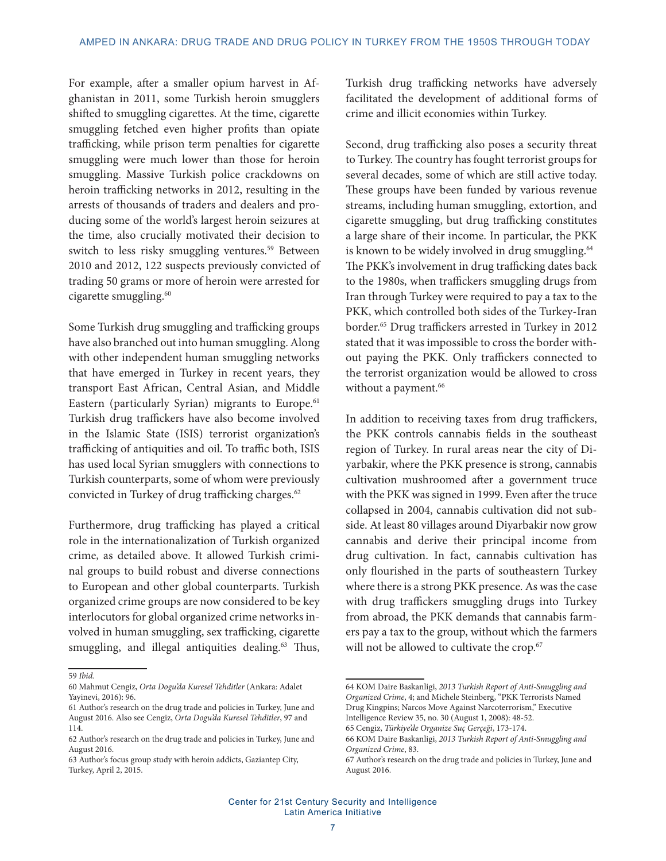For example, after a smaller opium harvest in Afghanistan in 2011, some Turkish heroin smugglers shifted to smuggling cigarettes. At the time, cigarette smuggling fetched even higher profits than opiate trafficking, while prison term penalties for cigarette smuggling were much lower than those for heroin smuggling. Massive Turkish police crackdowns on heroin trafficking networks in 2012, resulting in the arrests of thousands of traders and dealers and producing some of the world's largest heroin seizures at the time, also crucially motivated their decision to switch to less risky smuggling ventures.<sup>59</sup> Between 2010 and 2012, 122 suspects previously convicted of trading 50 grams or more of heroin were arrested for cigarette smuggling.<sup>60</sup>

Some Turkish drug smuggling and trafficking groups have also branched out into human smuggling. Along with other independent human smuggling networks that have emerged in Turkey in recent years, they transport East African, Central Asian, and Middle Eastern (particularly Syrian) migrants to Europe.<sup>61</sup> Turkish drug traffickers have also become involved in the Islamic State (ISIS) terrorist organization's trafficking of antiquities and oil. To traffic both, ISIS has used local Syrian smugglers with connections to Turkish counterparts, some of whom were previously convicted in Turkey of drug trafficking charges.<sup>62</sup>

Furthermore, drug trafficking has played a critical role in the internationalization of Turkish organized crime, as detailed above. It allowed Turkish criminal groups to build robust and diverse connections to European and other global counterparts. Turkish organized crime groups are now considered to be key interlocutors for global organized crime networks involved in human smuggling, sex trafficking, cigarette smuggling, and illegal antiquities dealing.<sup>63</sup> Thus, Turkish drug trafficking networks have adversely facilitated the development of additional forms of crime and illicit economies within Turkey.

Second, drug trafficking also poses a security threat to Turkey. The country has fought terrorist groups for several decades, some of which are still active today. These groups have been funded by various revenue streams, including human smuggling, extortion, and cigarette smuggling, but drug trafficking constitutes a large share of their income. In particular, the PKK is known to be widely involved in drug smuggling.<sup>64</sup> The PKK's involvement in drug trafficking dates back to the 1980s, when traffickers smuggling drugs from Iran through Turkey were required to pay a tax to the PKK, which controlled both sides of the Turkey-Iran border.65 Drug traffickers arrested in Turkey in 2012 stated that it was impossible to cross the border without paying the PKK. Only traffickers connected to the terrorist organization would be allowed to cross without a payment.<sup>66</sup>

In addition to receiving taxes from drug traffickers, the PKK controls cannabis fields in the southeast region of Turkey. In rural areas near the city of Diyarbakir, where the PKK presence is strong, cannabis cultivation mushroomed after a government truce with the PKK was signed in 1999. Even after the truce collapsed in 2004, cannabis cultivation did not subside. At least 80 villages around Diyarbakir now grow cannabis and derive their principal income from drug cultivation. In fact, cannabis cultivation has only flourished in the parts of southeastern Turkey where there is a strong PKK presence. As was the case with drug traffickers smuggling drugs into Turkey from abroad, the PKK demands that cannabis farmers pay a tax to the group, without which the farmers will not be allowed to cultivate the crop.<sup>67</sup>

<sup>59</sup> *Ibid.*

<sup>60</sup> Mahmut Cengiz, *Orta Dogu'da Kuresel Tehditler* (Ankara: Adalet Yayinevi, 2016): 96.

<sup>61</sup> Author's research on the drug trade and policies in Turkey, June and August 2016. Also see Cengiz, *Orta Dogu'da Kuresel Tehditler*, 97 and 114.

<sup>62</sup> Author's research on the drug trade and policies in Turkey, June and August 2016.

<sup>63</sup> Author's focus group study with heroin addicts, Gaziantep City, Turkey, April 2, 2015.

<sup>64</sup> KOM Daire Baskanligi, *2013 Turkish Report of Anti-Smuggling and Organized Crime*, 4; and Michele Steinberg, "PKK Terrorists Named Drug Kingpins; Narcos Move Against Narcoterrorism," Executive Intelligence Review 35, no. 30 (August 1, 2008): 48-52. 65 Cengiz, *Türkiye'de Organize Suç Gerçeği*, 173-174.

<sup>66</sup> KOM Daire Baskanligi, *2013 Turkish Report of Anti-Smuggling and Organized Crime*, 83.

<sup>67</sup> Author's research on the drug trade and policies in Turkey, June and August 2016.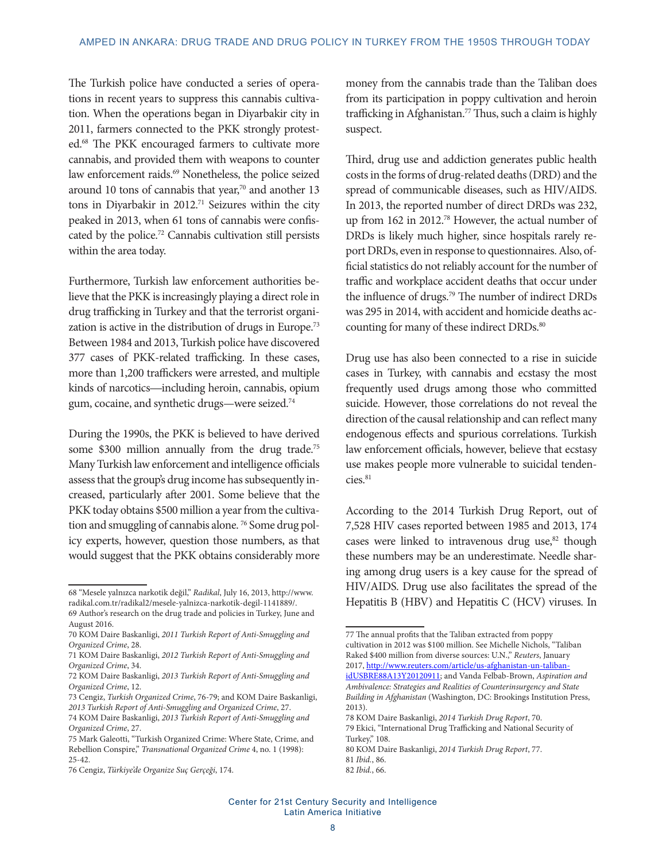The Turkish police have conducted a series of operations in recent years to suppress this cannabis cultivation. When the operations began in Diyarbakir city in 2011, farmers connected to the PKK strongly protested.68 The PKK encouraged farmers to cultivate more cannabis, and provided them with weapons to counter law enforcement raids.<sup>69</sup> Nonetheless, the police seized around 10 tons of cannabis that year, $70$  and another 13 tons in Diyarbakir in 2012.71 Seizures within the city peaked in 2013, when 61 tons of cannabis were confiscated by the police.72 Cannabis cultivation still persists within the area today.

Furthermore, Turkish law enforcement authorities believe that the PKK is increasingly playing a direct role in drug trafficking in Turkey and that the terrorist organization is active in the distribution of drugs in Europe.<sup>73</sup> Between 1984 and 2013, Turkish police have discovered 377 cases of PKK-related trafficking. In these cases, more than 1,200 traffickers were arrested, and multiple kinds of narcotics**—**including heroin, cannabis, opium gum, cocaine, and synthetic drugs—were seized.74

During the 1990s, the PKK is believed to have derived some \$300 million annually from the drug trade.<sup>75</sup> Many Turkish law enforcement and intelligence officials assess that the group's drug income has subsequently increased, particularly after 2001. Some believe that the PKK today obtains \$500 million a year from the cultivation and smuggling of cannabis alone.<sup>76</sup> Some drug policy experts, however, question those numbers, as that would suggest that the PKK obtains considerably more

money from the cannabis trade than the Taliban does from its participation in poppy cultivation and heroin trafficking in Afghanistan.<sup>77</sup> Thus, such a claim is highly suspect.

Third, drug use and addiction generates public health costs in the forms of drug-related deaths (DRD) and the spread of communicable diseases, such as HIV/AIDS. In 2013, the reported number of direct DRDs was 232, up from 162 in 2012.78 However, the actual number of DRDs is likely much higher, since hospitals rarely report DRDs, even in response to questionnaires. Also, official statistics do not reliably account for the number of traffic and workplace accident deaths that occur under the influence of drugs.79 The number of indirect DRDs was 295 in 2014, with accident and homicide deaths accounting for many of these indirect DRDs.<sup>80</sup>

Drug use has also been connected to a rise in suicide cases in Turkey, with cannabis and ecstasy the most frequently used drugs among those who committed suicide. However, those correlations do not reveal the direction of the causal relationship and can reflect many endogenous effects and spurious correlations. Turkish law enforcement officials, however, believe that ecstasy use makes people more vulnerable to suicidal tendencies.<sup>81</sup>

According to the 2014 Turkish Drug Report, out of 7,528 HIV cases reported between 1985 and 2013, 174 cases were linked to intravenous drug use, $82$  though these numbers may be an underestimate. Needle sharing among drug users is a key cause for the spread of HIV/AIDS. Drug use also facilitates the spread of the Hepatitis B (HBV) and Hepatitis C (HCV) viruses. In

<sup>68 &</sup>quot;Mesele yalnızca narkotik değil," *Radikal*, July 16, 2013, http://www. radikal.com.tr/radikal2/mesele-yalnizca-narkotik-degil-1141889/.

<sup>69</sup> Author's research on the drug trade and policies in Turkey, June and August 2016.

<sup>70</sup> KOM Daire Baskanligi, *2011 Turkish Report of Anti-Smuggling and Organized Crime*, 28.

<sup>71</sup> KOM Daire Baskanligi, *2012 Turkish Report of Anti-Smuggling and Organized Crime*, 34.

<sup>72</sup> KOM Daire Baskanligi, *2013 Turkish Report of Anti-Smuggling and Organized Crime*, 12.

<sup>73</sup> Cengiz, *Turkish Organized Crime*, 76-79; and KOM Daire Baskanligi, *2013 Turkish Report of Anti-Smuggling and Organized Crime*, 27.

<sup>74</sup> KOM Daire Baskanligi, *2013 Turkish Report of Anti-Smuggling and Organized Crime*, 27.

<sup>75</sup> Mark Galeotti, "Turkish Organized Crime: Where State, Crime, and Rebellion Conspire," *Transnational Organized Crime* 4, no. 1 (1998): 25-42.

<sup>76</sup> Cengiz, *Türkiye'de Organize Suç Gerçeği*, 174.

<sup>77</sup> The annual profits that the Taliban extracted from poppy cultivation in 2012 was \$100 million. See Michelle Nichols, "Taliban Raked \$400 million from diverse sources: U.N.," *Reuters*, January 2017, [http://www.reuters.com/article/us-afghanistan-un-taliban](http://www.reuters.com/article/us-afghanistan-un-taliban-idUSBRE88A13Y20120911)[idUSBRE88A13Y20120911;](http://www.reuters.com/article/us-afghanistan-un-taliban-idUSBRE88A13Y20120911) and Vanda Felbab-Brown, *Aspiration and Ambivalence: Strategies and Realities of Counterinsurgency and State* 

*Building in Afghanistan* (Washington, DC: Brookings Institution Press, 2013). 78 KOM Daire Baskanligi, *2014 Turkish Drug Report*, 70.

<sup>79</sup> Ekici, "International Drug Trafficking and National Security of Turkey," 108.

<sup>80</sup> KOM Daire Baskanligi, *2014 Turkish Drug Report*, 77.

<sup>81</sup> *Ibid.*, 86.

<sup>82</sup> *Ibid.*, 66.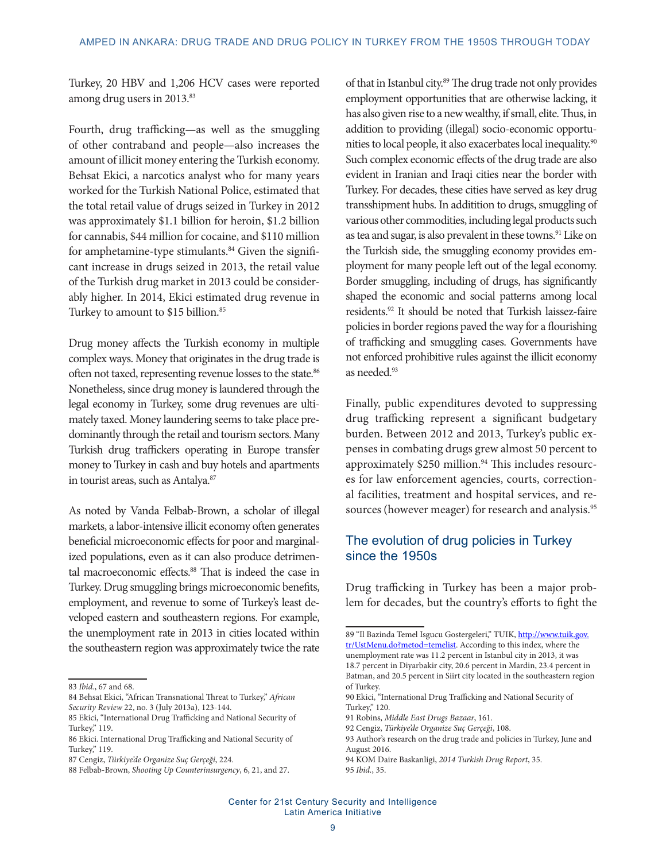Turkey, 20 HBV and 1,206 HCV cases were reported among drug users in 2013.<sup>83</sup>

Fourth, drug trafficking—as well as the smuggling of other contraband and people—also increases the amount of illicit money entering the Turkish economy. Behsat Ekici, a narcotics analyst who for many years worked for the Turkish National Police, estimated that the total retail value of drugs seized in Turkey in 2012 was approximately \$1.1 billion for heroin, \$1.2 billion for cannabis, \$44 million for cocaine, and \$110 million for amphetamine-type stimulants.<sup>84</sup> Given the significant increase in drugs seized in 2013, the retail value of the Turkish drug market in 2013 could be considerably higher. In 2014, Ekici estimated drug revenue in Turkey to amount to \$15 billion.<sup>85</sup>

Drug money affects the Turkish economy in multiple complex ways. Money that originates in the drug trade is often not taxed, representing revenue losses to the state.<sup>86</sup> Nonetheless, since drug money is laundered through the legal economy in Turkey, some drug revenues are ultimately taxed. Money laundering seems to take place predominantly through the retail and tourism sectors. Many Turkish drug traffickers operating in Europe transfer money to Turkey in cash and buy hotels and apartments in tourist areas, such as Antalya.<sup>87</sup>

As noted by Vanda Felbab-Brown, a scholar of illegal markets, a labor-intensive illicit economy often generates beneficial microeconomic effects for poor and marginalized populations, even as it can also produce detrimental macroeconomic effects.<sup>88</sup> That is indeed the case in Turkey. Drug smuggling brings microeconomic benefits, employment, and revenue to some of Turkey's least developed eastern and southeastern regions. For example, the unemployment rate in 2013 in cities located within the southeastern region was approximately twice the rate

of that in Istanbul city.<sup>89</sup> The drug trade not only provides employment opportunities that are otherwise lacking, it has also given rise to a new wealthy, if small, elite. Thus, in addition to providing (illegal) socio-economic opportunities to local people, it also exacerbates local inequality.90 Such complex economic effects of the drug trade are also evident in Iranian and Iraqi cities near the border with Turkey. For decades, these cities have served as key drug transshipment hubs. In additition to drugs, smuggling of various other commodities, including legal products such as tea and sugar, is also prevalent in these towns.<sup>91</sup> Like on the Turkish side, the smuggling economy provides employment for many people left out of the legal economy. Border smuggling, including of drugs, has significantly shaped the economic and social patterns among local residents.92 It should be noted that Turkish laissez-faire policies in border regions paved the way for a flourishing of trafficking and smuggling cases. Governments have not enforced prohibitive rules against the illicit economy as needed.<sup>93</sup>

Finally, public expenditures devoted to suppressing drug trafficking represent a significant budgetary burden. Between 2012 and 2013, Turkey's public expenses in combating drugs grew almost 50 percent to approximately \$250 million.<sup>94</sup> This includes resources for law enforcement agencies, courts, correctional facilities, treatment and hospital services, and resources (however meager) for research and analysis.<sup>95</sup>

## The evolution of drug policies in Turkey since the 1950s

Drug trafficking in Turkey has been a major problem for decades, but the country's efforts to fight the

<sup>83</sup> *Ibid.*, 67 and 68.

<sup>84</sup> Behsat Ekici, "African Transnational Threat to Turkey," *African Security Review* 22, no. 3 (July 2013a), 123-144.

<sup>85</sup> Ekici, "International Drug Trafficking and National Security of Turkey," 119.

<sup>86</sup> Ekici. International Drug Trafficking and National Security of Turkey," 119.

<sup>87</sup> Cengiz, *Türkiye'de Organize Suç Gerçeği*, 224.

<sup>88</sup> Felbab-Brown, *Shooting Up Counterinsurgency*, 6, 21, and 27.

<sup>89 &</sup>quot;Il Bazinda Temel Isgucu Gostergeleri," TUIK, [http://www.tuik.gov.](http://www.tuik.gov.tr/UstMenu.do?metod=temelist) [tr/UstMenu.do?metod=temelist](http://www.tuik.gov.tr/UstMenu.do?metod=temelist). According to this index, where the unemployment rate was 11.2 percent in Istanbul city in 2013, it was 18.7 percent in Diyarbakir city, 20.6 percent in Mardin, 23.4 percent in Batman, and 20.5 percent in Siirt city located in the southeastern region of Turkey.

<sup>90</sup> Ekici, "International Drug Trafficking and National Security of Turkey," 120.

<sup>91</sup> Robins, *Middle East Drugs Bazaar*, 161.

<sup>92</sup> Cengiz, *Türkiye'de Organize Suç Gerçeği*, 108.

<sup>93</sup> Author's research on the drug trade and policies in Turkey, June and August 2016.

<sup>94</sup> KOM Daire Baskanligi, *2014 Turkish Drug Report*, 35.

<sup>95</sup> *Ibid.*, 35.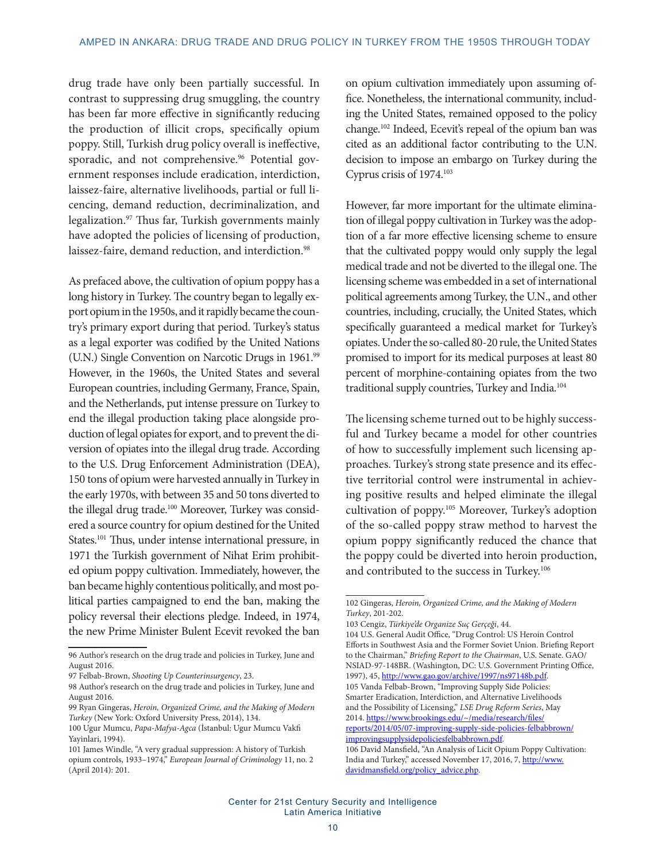drug trade have only been partially successful. In contrast to suppressing drug smuggling, the country has been far more effective in significantly reducing the production of illicit crops, specifically opium poppy. Still, Turkish drug policy overall is ineffective, sporadic, and not comprehensive.<sup>96</sup> Potential government responses include eradication, interdiction, laissez-faire, alternative livelihoods, partial or full licencing, demand reduction, decriminalization, and legalization.97 Thus far, Turkish governments mainly have adopted the policies of licensing of production, laissez-faire, demand reduction, and interdiction.<sup>98</sup>

As prefaced above, the cultivation of opium poppy has a long history in Turkey. The country began to legally export opium in the 1950s, and it rapidly became the country's primary export during that period. Turkey's status as a legal exporter was codified by the United Nations (U.N.) Single Convention on Narcotic Drugs in 1961.99 However, in the 1960s, the United States and several European countries, including Germany, France, Spain, and the Netherlands, put intense pressure on Turkey to end the illegal production taking place alongside production of legal opiates for export, and to prevent the diversion of opiates into the illegal drug trade. According to the U.S. Drug Enforcement Administration (DEA), 150 tons of opium were harvested annually in Turkey in the early 1970s, with between 35 and 50 tons diverted to the illegal drug trade.<sup>100</sup> Moreover, Turkey was considered a source country for opium destined for the United States.<sup>101</sup> Thus, under intense international pressure, in 1971 the Turkish government of Nihat Erim prohibited opium poppy cultivation. Immediately, however, the ban became highly contentious politically, and most political parties campaigned to end the ban, making the policy reversal their elections pledge. Indeed, in 1974, the new Prime Minister Bulent Ecevit revoked the ban

on opium cultivation immediately upon assuming office. Nonetheless, the international community, including the United States, remained opposed to the policy change.102 Indeed, Ecevit's repeal of the opium ban was cited as an additional factor contributing to the U.N. decision to impose an embargo on Turkey during the Cyprus crisis of 1974.103

However, far more important for the ultimate elimination of illegal poppy cultivation in Turkey was the adoption of a far more effective licensing scheme to ensure that the cultivated poppy would only supply the legal medical trade and not be diverted to the illegal one. The licensing scheme was embedded in a set of international political agreements among Turkey, the U.N., and other countries, including, crucially, the United States, which specifically guaranteed a medical market for Turkey's opiates. Under the so-called 80-20 rule, the United States promised to import for its medical purposes at least 80 percent of morphine-containing opiates from the two traditional supply countries, Turkey and India.<sup>104</sup>

The licensing scheme turned out to be highly successful and Turkey became a model for other countries of how to successfully implement such licensing approaches. Turkey's strong state presence and its effective territorial control were instrumental in achieving positive results and helped eliminate the illegal cultivation of poppy.105 Moreover, Turkey's adoption of the so-called poppy straw method to harvest the opium poppy significantly reduced the chance that the poppy could be diverted into heroin production, and contributed to the success in Turkey.<sup>106</sup>

[improvingsupplysidepoliciesfelbabbrown.pdf.](https://www.brookings.edu/~/media/research/files/reports/2014/05/07-improving-supply-side-policies-felbabbrown/improvingsupplysidepoliciesfelbabbrown.pdf) 106 David Mansfield, "An Analysis of Licit Opium Poppy Cultivation:

<sup>96</sup> Author's research on the drug trade and policies in Turkey, June and August 2016.

<sup>97</sup> Felbab-Brown, *Shooting Up Counterinsurgency*, 23.

<sup>98</sup> Author's research on the drug trade and policies in Turkey, June and August 2016.

<sup>99</sup> Ryan Gingeras, *Heroin, Organized Crime, and the Making of Modern Turkey* (New York: Oxford University Press, 2014), 134.

<sup>100</sup> Ugur Mumcu, *Papa-Mafya-Agca* (İstanbul: Ugur Mumcu Vakfi Yayinlari, 1994).

<sup>101</sup> James Windle, "A very gradual suppression: A history of Turkish opium controls, 1933–1974," *European Journal of Criminology* 11, no. 2 (April 2014): 201.

<sup>102</sup> Gingeras, *Heroin, Organized Crime, and the Making of Modern Turkey*, 201-202.

<sup>103</sup> Cengiz, *Türkiye'de Organize Suç Gerçeği*, 44.

<sup>104</sup> U.S. General Audit Office, "Drug Control: US Heroin Control Efforts in Southwest Asia and the Former Soviet Union. Briefing Report to the Chairman," *Briefing Report to the Chairman*, U.S. Senate. GAO/ NSIAD-97-148BR. (Washington, DC: U.S. Government Printing Office, 1997), 45, [http://www.gao.gov/archive/1997/ns97148b.pdf.](http://www.gao.gov/archive/1997/ns97148b.pdf) 105 Vanda Felbab-Brown, "Improving Supply Side Policies:

Smarter Eradication, Interdiction, and Alternative Livelihoods and the Possibility of Licensing," *LSE Drug Reform Series*, May 2014. [https://www.brookings.edu/~/media/research/files/](https://www.brookings.edu/~/media/research/files/reports/2014/05/07-improving-supply-side-policies-felbabbrown/improvingsupplysidepoliciesfelbabbrown.pdf) [reports/2014/05/07-improving-supply-side-policies-felbabbrown/](https://www.brookings.edu/~/media/research/files/reports/2014/05/07-improving-supply-side-policies-felbabbrown/improvingsupplysidepoliciesfelbabbrown.pdf)

India and Turkey," accessed November 17, 2016, 7, [http://www.](http://www.davidmansfield.org/policy_advice.php) [davidmansfield.org/policy\\_advice.php.](http://www.davidmansfield.org/policy_advice.php)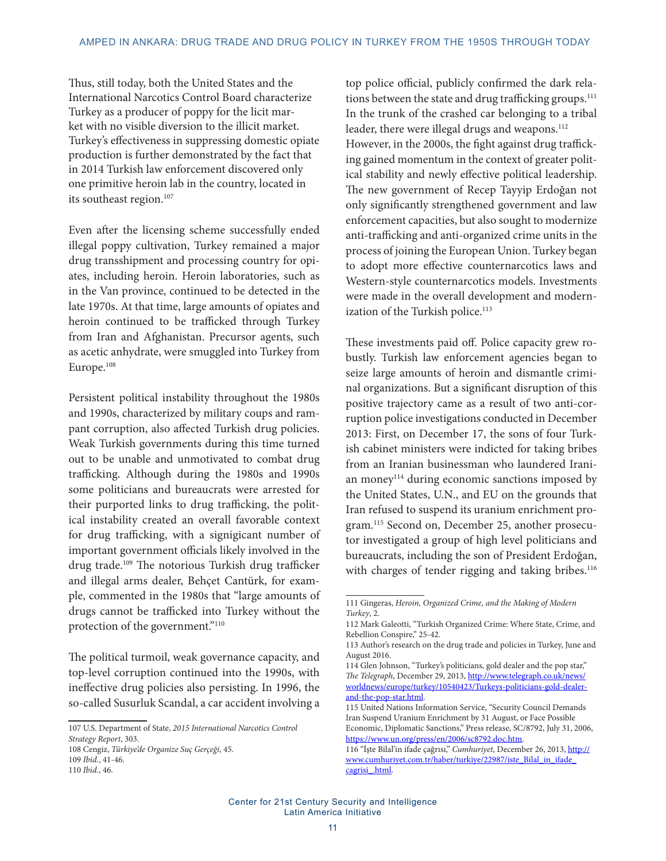Thus, still today, both the United States and the International Narcotics Control Board characterize Turkey as a producer of poppy for the licit market with no visible diversion to the illicit market. Turkey's effectiveness in suppressing domestic opiate production is further demonstrated by the fact that in 2014 Turkish law enforcement discovered only one primitive heroin lab in the country, located in its southeast region.<sup>107</sup>

Even after the licensing scheme successfully ended illegal poppy cultivation, Turkey remained a major drug transshipment and processing country for opiates, including heroin. Heroin laboratories, such as in the Van province, continued to be detected in the late 1970s. At that time, large amounts of opiates and heroin continued to be trafficked through Turkey from Iran and Afghanistan. Precursor agents, such as acetic anhydrate, were smuggled into Turkey from Europe.108

Persistent political instability throughout the 1980s and 1990s, characterized by military coups and rampant corruption, also affected Turkish drug policies. Weak Turkish governments during this time turned out to be unable and unmotivated to combat drug trafficking. Although during the 1980s and 1990s some politicians and bureaucrats were arrested for their purported links to drug trafficking, the political instability created an overall favorable context for drug trafficking, with a signigicant number of important government officials likely involved in the drug trade.<sup>109</sup> The notorious Turkish drug trafficker and illegal arms dealer, Behçet Cantürk, for example, commented in the 1980s that "large amounts of drugs cannot be trafficked into Turkey without the protection of the government."110

The political turmoil, weak governance capacity, and top-level corruption continued into the 1990s, with ineffective drug policies also persisting. In 1996, the so-called Susurluk Scandal, a car accident involving a

top police official, publicly confirmed the dark relations between the state and drug trafficking groups.<sup>111</sup> In the trunk of the crashed car belonging to a tribal leader, there were illegal drugs and weapons.<sup>112</sup> However, in the 2000s, the fight against drug trafficking gained momentum in the context of greater political stability and newly effective political leadership. The new government of Recep Tayyip Erdoğan not only significantly strengthened government and law enforcement capacities, but also sought to modernize anti-trafficking and anti-organized crime units in the process of joining the European Union. Turkey began to adopt more effective counternarcotics laws and Western-style counternarcotics models. Investments were made in the overall development and modernization of the Turkish police.<sup>113</sup>

These investments paid off. Police capacity grew robustly. Turkish law enforcement agencies began to seize large amounts of heroin and dismantle criminal organizations. But a significant disruption of this positive trajectory came as a result of two anti-corruption police investigations conducted in December 2013: First, on December 17, the sons of four Turkish cabinet ministers were indicted for taking bribes from an Iranian businessman who laundered Iranian money<sup>114</sup> during economic sanctions imposed by the United States, U.N., and EU on the grounds that Iran refused to suspend its uranium enrichment program.115 Second on, December 25, another prosecutor investigated a group of high level politicians and bureaucrats, including the son of President Erdoğan, with charges of tender rigging and taking bribes.<sup>116</sup>

<sup>107</sup> U.S. Department of State, *2015 International Narcotics Control Strategy Report*, 303.

<sup>108</sup> Cengiz, *Türkiye'de Organize Suç Gerçeği*, 45.

<sup>109</sup> *Ibid.*, 41-46. 110 *Ibid.*, 46.

<sup>111</sup> Gingeras, *Heroin, Organized Crime, and the Making of Modern Turkey*, 2.

<sup>112</sup> Mark Galeotti, "Turkish Organized Crime: Where State, Crime, and Rebellion Conspire," 25-42.

<sup>113</sup> Author's research on the drug trade and policies in Turkey, June and August 2016.

<sup>114</sup> Glen Johnson, "Turkey's politicians, gold dealer and the pop star," *The Telegraph*, December 29, 2013, [http://www.telegraph.co.uk/news/](http://www.telegraph.co.uk/news/worldnews/europe/turkey/10540423/Turkeys-politicians-gold-dealer-and-the-pop-star.html) [worldnews/europe/turkey/10540423/Turkeys-politicians-gold-dealer](http://www.telegraph.co.uk/news/worldnews/europe/turkey/10540423/Turkeys-politicians-gold-dealer-and-the-pop-star.html)[and-the-pop-star.html](http://www.telegraph.co.uk/news/worldnews/europe/turkey/10540423/Turkeys-politicians-gold-dealer-and-the-pop-star.html).

<sup>115</sup> United Nations Information Service, "Security Council Demands Iran Suspend Uranium Enrichment by 31 August, or Face Possible Economic, Diplomatic Sanctions," Press release, SC/8792, July 31, 2006, <https://www.un.org/press/en/2006/sc8792.doc.htm>.

<sup>116 &</sup>quot;İşte Bilal'in ifade çağrısı," *Cumhuriyet*, December 26, 2013, [http://](http://www.cumhuriyet.com.tr/haber/turkiye/22987/iste_Bilal_in_ifade_cagrisi_.html) [www.cumhuriyet.com.tr/haber/turkiye/22987/iste\\_Bilal\\_in\\_ifade\\_](http://www.cumhuriyet.com.tr/haber/turkiye/22987/iste_Bilal_in_ifade_cagrisi_.html) [cagrisi\\_.html.](http://www.cumhuriyet.com.tr/haber/turkiye/22987/iste_Bilal_in_ifade_cagrisi_.html)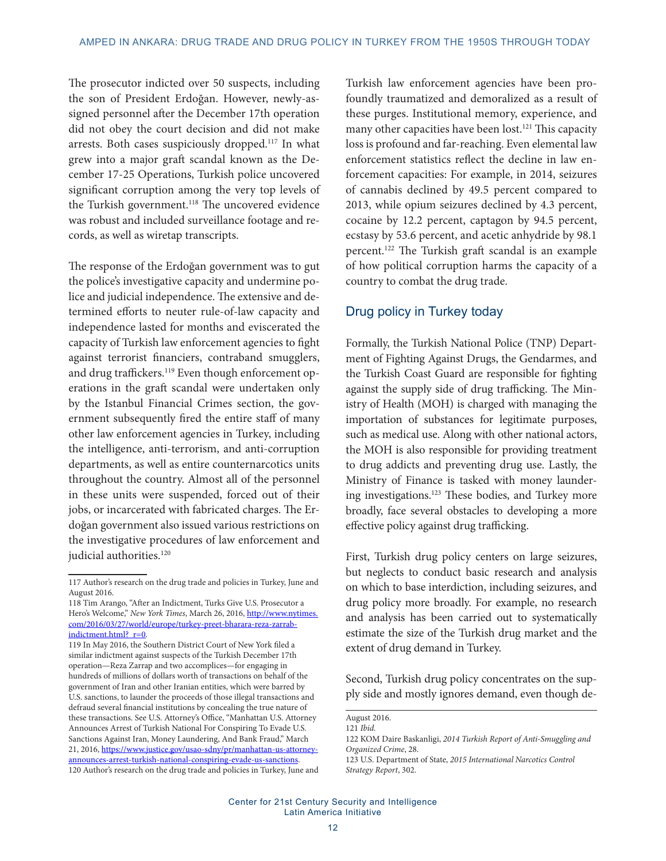The prosecutor indicted over 50 suspects, including the son of President Erdoğan. However, newly-assigned personnel after the December 17th operation did not obey the court decision and did not make arrests. Both cases suspiciously dropped.117 In what grew into a major graft scandal known as the December 17-25 Operations, Turkish police uncovered significant corruption among the very top levels of the Turkish government.<sup>118</sup> The uncovered evidence was robust and included surveillance footage and records, as well as wiretap transcripts.

The response of the Erdoğan government was to gut the police's investigative capacity and undermine police and judicial independence. The extensive and determined efforts to neuter rule-of-law capacity and independence lasted for months and eviscerated the capacity of Turkish law enforcement agencies to fight against terrorist financiers, contraband smugglers, and drug traffickers.<sup>119</sup> Even though enforcement operations in the graft scandal were undertaken only by the Istanbul Financial Crimes section, the government subsequently fired the entire staff of many other law enforcement agencies in Turkey, including the intelligence, anti-terrorism, and anti-corruption departments, as well as entire counternarcotics units throughout the country. Almost all of the personnel in these units were suspended, forced out of their jobs, or incarcerated with fabricated charges. The Erdoğan government also issued various restrictions on the investigative procedures of law enforcement and judicial authorities.<sup>120</sup>

Turkish law enforcement agencies have been profoundly traumatized and demoralized as a result of these purges. Institutional memory, experience, and many other capacities have been lost.<sup>121</sup> This capacity loss is profound and far-reaching. Even elemental law enforcement statistics reflect the decline in law enforcement capacities: For example, in 2014, seizures of cannabis declined by 49.5 percent compared to 2013, while opium seizures declined by 4.3 percent, cocaine by 12.2 percent, captagon by 94.5 percent, ecstasy by 53.6 percent, and acetic anhydride by 98.1 percent.122 The Turkish graft scandal is an example of how political corruption harms the capacity of a country to combat the drug trade.

## Drug policy in Turkey today

Formally, the Turkish National Police (TNP) Department of Fighting Against Drugs, the Gendarmes, and the Turkish Coast Guard are responsible for fighting against the supply side of drug trafficking. The Ministry of Health (MOH) is charged with managing the importation of substances for legitimate purposes, such as medical use. Along with other national actors, the MOH is also responsible for providing treatment to drug addicts and preventing drug use. Lastly, the Ministry of Finance is tasked with money laundering investigations.123 These bodies, and Turkey more broadly, face several obstacles to developing a more effective policy against drug trafficking.

First, Turkish drug policy centers on large seizures, but neglects to conduct basic research and analysis on which to base interdiction, including seizures, and drug policy more broadly. For example, no research and analysis has been carried out to systematically estimate the size of the Turkish drug market and the extent of drug demand in Turkey.

Second, Turkish drug policy concentrates on the supply side and mostly ignores demand, even though de-

<sup>117</sup> Author's research on the drug trade and policies in Turkey, June and August 2016.

<sup>118</sup> Tim Arango, "After an Indictment, Turks Give U.S. Prosecutor a Hero's Welcome," New York Times, March 26, 2016, [http://www.nytimes.](http://www.nytimes.com/2016/03/27/world/europe/turkey-preet-bharara-reza-zarrab-indictment.html?_r=0) [com/2016/03/27/world/europe/turkey-preet-bharara-reza-zarrab](http://www.nytimes.com/2016/03/27/world/europe/turkey-preet-bharara-reza-zarrab-indictment.html?_r=0)[indictment.html?\\_r=0.](http://www.nytimes.com/2016/03/27/world/europe/turkey-preet-bharara-reza-zarrab-indictment.html?_r=0)

<sup>119</sup> In May 2016, the Southern District Court of New York filed a similar indictment against suspects of the Turkish December 17th operation—Reza Zarrap and two accomplices—for engaging in hundreds of millions of dollars worth of transactions on behalf of the government of Iran and other Iranian entities, which were barred by U.S. sanctions, to launder the proceeds of those illegal transactions and defraud several financial institutions by concealing the true nature of these transactions. See U.S. Attorney's Office, "Manhattan U.S. Attorney Announces Arrest of Turkish National For Conspiring To Evade U.S. Sanctions Against Iran, Money Laundering, And Bank Fraud," March 21, 2016, [https://www.justice.gov/usao-sdny/pr/manhattan-us-attorney](https://www.justice.gov/usao-sdny/pr/manhattan-us-attorney-announces-arrest-turkish-national-conspiring-evade-us-sanctions)[announces-arrest-turkish-national-conspiring-evade-us-sanctions](https://www.justice.gov/usao-sdny/pr/manhattan-us-attorney-announces-arrest-turkish-national-conspiring-evade-us-sanctions). 120 Author's research on the drug trade and policies in Turkey, June and

August 2016. 121 *Ibid.*

<sup>122</sup> KOM Daire Baskanligi, *2014 Turkish Report of Anti-Smuggling and Organized Crime*, 28.

<sup>123</sup> U.S. Department of State, *2015 International Narcotics Control Strategy Report*, 302.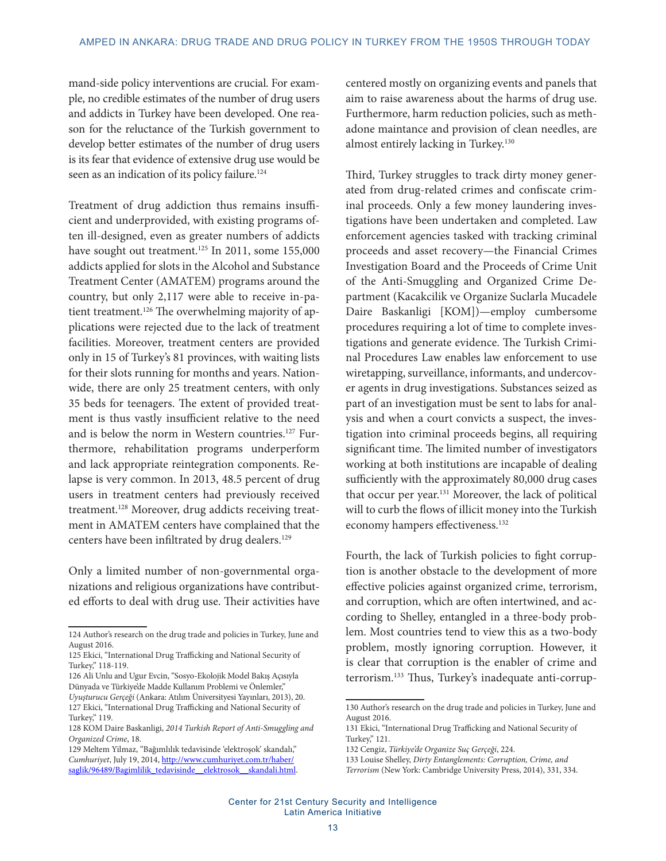mand-side policy interventions are crucial. For example, no credible estimates of the number of drug users and addicts in Turkey have been developed. One reason for the reluctance of the Turkish government to develop better estimates of the number of drug users is its fear that evidence of extensive drug use would be seen as an indication of its policy failure.<sup>124</sup>

Treatment of drug addiction thus remains insufficient and underprovided, with existing programs often ill-designed, even as greater numbers of addicts have sought out treatment.<sup>125</sup> In 2011, some 155,000 addicts applied for slots in the Alcohol and Substance Treatment Center (AMATEM) programs around the country, but only 2,117 were able to receive in-patient treatment.<sup>126</sup> The overwhelming majority of applications were rejected due to the lack of treatment facilities. Moreover, treatment centers are provided only in 15 of Turkey's 81 provinces, with waiting lists for their slots running for months and years. Nationwide, there are only 25 treatment centers, with only 35 beds for teenagers. The extent of provided treatment is thus vastly insufficient relative to the need and is below the norm in Western countries.<sup>127</sup> Furthermore, rehabilitation programs underperform and lack appropriate reintegration components. Relapse is very common. In 2013, 48.5 percent of drug users in treatment centers had previously received treatment.<sup>128</sup> Moreover, drug addicts receiving treatment in AMATEM centers have complained that the centers have been infiltrated by drug dealers.<sup>129</sup>

Only a limited number of non-governmental organizations and religious organizations have contributed efforts to deal with drug use. Their activities have centered mostly on organizing events and panels that aim to raise awareness about the harms of drug use. Furthermore, harm reduction policies, such as methadone maintance and provision of clean needles, are almost entirely lacking in Turkey.<sup>130</sup>

Third, Turkey struggles to track dirty money generated from drug-related crimes and confiscate criminal proceeds. Only a few money laundering investigations have been undertaken and completed. Law enforcement agencies tasked with tracking criminal proceeds and asset recovery—the Financial Crimes Investigation Board and the Proceeds of Crime Unit of the Anti-Smuggling and Organized Crime Department (Kacakcilik ve Organize Suclarla Mucadele Daire Baskanligi [KOM])—employ cumbersome procedures requiring a lot of time to complete investigations and generate evidence. The Turkish Criminal Procedures Law enables law enforcement to use wiretapping, surveillance, informants, and undercover agents in drug investigations. Substances seized as part of an investigation must be sent to labs for analysis and when a court convicts a suspect, the investigation into criminal proceeds begins, all requiring significant time. The limited number of investigators working at both institutions are incapable of dealing sufficiently with the approximately 80,000 drug cases that occur per year.131 Moreover, the lack of political will to curb the flows of illicit money into the Turkish economy hampers effectiveness.<sup>132</sup>

Fourth, the lack of Turkish policies to fight corruption is another obstacle to the development of more effective policies against organized crime, terrorism, and corruption, which are often intertwined, and according to Shelley, entangled in a three-body problem. Most countries tend to view this as a two-body problem, mostly ignoring corruption. However, it is clear that corruption is the enabler of crime and terrorism.133 Thus, Turkey's inadequate anti-corrup-

<sup>124</sup> Author's research on the drug trade and policies in Turkey, June and August 2016.

<sup>125</sup> Ekici, "International Drug Trafficking and National Security of Turkey," 118-119.

<sup>126</sup> Ali Unlu and Ugur Evcin, "Sosyo-Ekolojik Model Bakış Açısıyla Dünyada ve Türkiye'de Madde Kullanım Problemi ve Önlemler," *Uyuşturucu Gerçeği* (Ankara: Atılım Üniversityesi Yayınları, 2013), 20. 127 Ekici, "International Drug Trafficking and National Security of Turkey," 119.

<sup>128</sup> KOM Daire Baskanligi, *2014 Turkish Report of Anti-Smuggling and Organized Crime*, 18.

<sup>129</sup> Meltem Yilmaz, "Bağımlılık tedavisinde 'elektroşok' skandalı," *Cumhuriyet*, July 19, 2014, [http://www.cumhuriyet.com.tr/haber/](http://www.cumhuriyet.com.tr/haber/saglik/96489/Bagimlilik_tedavisinde__elektrosok__skandali.html) saglik/96489/Bagimlilik\_tedavisinde\_elektrosok\_skandali.html.

<sup>130</sup> Author's research on the drug trade and policies in Turkey, June and August 2016.

<sup>131</sup> Ekici, "International Drug Trafficking and National Security of Turkey," 121.

<sup>132</sup> Cengiz, *Türkiye'de Organize Suç Gerçeği*, 224.

<sup>133</sup> Louise Shelley, *Dirty Entanglements: Corruption, Crime, and* 

*Terrorism* (New York: Cambridge University Press, 2014), 331, 334.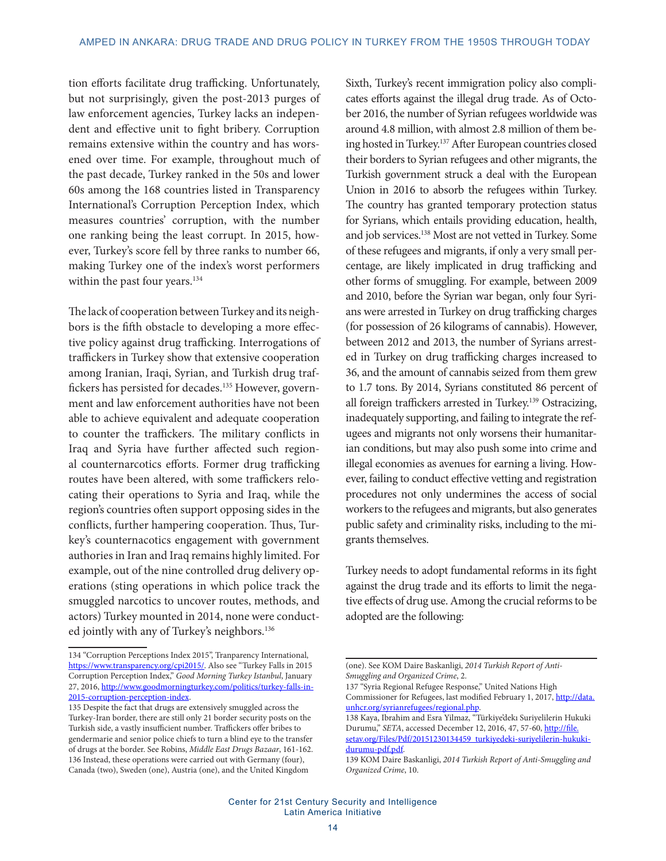tion efforts facilitate drug trafficking. Unfortunately, but not surprisingly, given the post-2013 purges of law enforcement agencies, Turkey lacks an independent and effective unit to fight bribery. Corruption remains extensive within the country and has worsened over time. For example, throughout much of the past decade, Turkey ranked in the 50s and lower 60s among the 168 countries listed in Transparency International's Corruption Perception Index, which measures countries' corruption, with the number one ranking being the least corrupt. In 2015, however, Turkey's score fell by three ranks to number 66, making Turkey one of the index's worst performers within the past four years.<sup>134</sup>

The lack of cooperation between Turkey and its neighbors is the fifth obstacle to developing a more effective policy against drug trafficking. Interrogations of traffickers in Turkey show that extensive cooperation among Iranian, Iraqi, Syrian, and Turkish drug traffickers has persisted for decades.<sup>135</sup> However, government and law enforcement authorities have not been able to achieve equivalent and adequate cooperation to counter the traffickers. The military conflicts in Iraq and Syria have further affected such regional counternarcotics efforts. Former drug trafficking routes have been altered, with some traffickers relocating their operations to Syria and Iraq, while the region's countries often support opposing sides in the conflicts, further hampering cooperation. Thus, Turkey's counternacotics engagement with government authories in Iran and Iraq remains highly limited. For example, out of the nine controlled drug delivery operations (sting operations in which police track the smuggled narcotics to uncover routes, methods, and actors) Turkey mounted in 2014, none were conducted jointly with any of Turkey's neighbors.<sup>136</sup>

Sixth, Turkey's recent immigration policy also complicates efforts against the illegal drug trade. As of October 2016, the number of Syrian refugees worldwide was around 4.8 million, with almost 2.8 million of them being hosted in Turkey.137 After European countries closed their borders to Syrian refugees and other migrants, the Turkish government struck a deal with the European Union in 2016 to absorb the refugees within Turkey. The country has granted temporary protection status for Syrians, which entails providing education, health, and job services.138 Most are not vetted in Turkey. Some of these refugees and migrants, if only a very small percentage, are likely implicated in drug trafficking and other forms of smuggling. For example, between 2009 and 2010, before the Syrian war began, only four Syrians were arrested in Turkey on drug trafficking charges (for possession of 26 kilograms of cannabis). However, between 2012 and 2013, the number of Syrians arrested in Turkey on drug trafficking charges increased to 36, and the amount of cannabis seized from them grew to 1.7 tons. By 2014, Syrians constituted 86 percent of all foreign traffickers arrested in Turkey.139 Ostracizing, inadequately supporting, and failing to integrate the refugees and migrants not only worsens their humanitarian conditions, but may also push some into crime and illegal economies as avenues for earning a living. However, failing to conduct effective vetting and registration procedures not only undermines the access of social workers to the refugees and migrants, but also generates public safety and criminality risks, including to the migrants themselves.

Turkey needs to adopt fundamental reforms in its fight against the drug trade and its efforts to limit the negative effects of drug use. Among the crucial reforms to be adopted are the following:

<sup>134 &</sup>quot;Corruption Perceptions Index 2015", Tranparency International, [https://www.transparency.org/cpi2015/.](https://www.transparency.org/cpi2015/) Also see "Turkey Falls in 2015 Corruption Perception Index," *Good Morning Turkey Istanbul*, January 27, 2016, [http://www.goodmorningturkey.com/politics/turkey-falls-in-](http://www.goodmorningturkey.com/politics/turkey-falls-in-2015-corruption-perception-index)[2015-corruption-perception-index.](http://www.goodmorningturkey.com/politics/turkey-falls-in-2015-corruption-perception-index)

<sup>135</sup> Despite the fact that drugs are extensively smuggled across the Turkey-Iran border, there are still only 21 border security posts on the Turkish side, a vastly insufficient number. Traffickers offer bribes to gendermarie and senior police chiefs to turn a blind eye to the transfer of drugs at the border. See Robins, *Middle East Drugs Bazaar*, 161-162. 136 Instead, these operations were carried out with Germany (four), Canada (two), Sweden (one), Austria (one), and the United Kingdom

<sup>(</sup>one). See KOM Daire Baskanligi, *2014 Turkish Report of Anti-Smuggling and Organized Crime*, 2.

<sup>137 &</sup>quot;Syria Regional Refugee Response," United Nations High Commissioner for Refugees, last modified February 1, 2017, [http://data.](http://data.unhcr.org/syrianrefugees/regional.php) [unhcr.org/syrianrefugees/regional.php.](http://data.unhcr.org/syrianrefugees/regional.php)

<sup>138</sup> Kaya, Ibrahim and Esra Yilmaz, "Türkiye'dekı Suriyelilerin Hukuki Durumu," *SETA*, accessed December 12, 2016, 47, 57-60, [http://file.](http://file.setav.org/Files/Pdf/20151230134459_turkiyedeki-suriyelilerin-hukuki-durumu-pdf.pdf) [setav.org/Files/Pdf/20151230134459\\_turkiyedeki-suriyelilerin-hukuki](http://file.setav.org/Files/Pdf/20151230134459_turkiyedeki-suriyelilerin-hukuki-durumu-pdf.pdf)[durumu-pdf.pdf.](http://file.setav.org/Files/Pdf/20151230134459_turkiyedeki-suriyelilerin-hukuki-durumu-pdf.pdf)

<sup>139</sup> KOM Daire Baskanligi, *2014 Turkish Report of Anti-Smuggling and Organized Crime*, 10.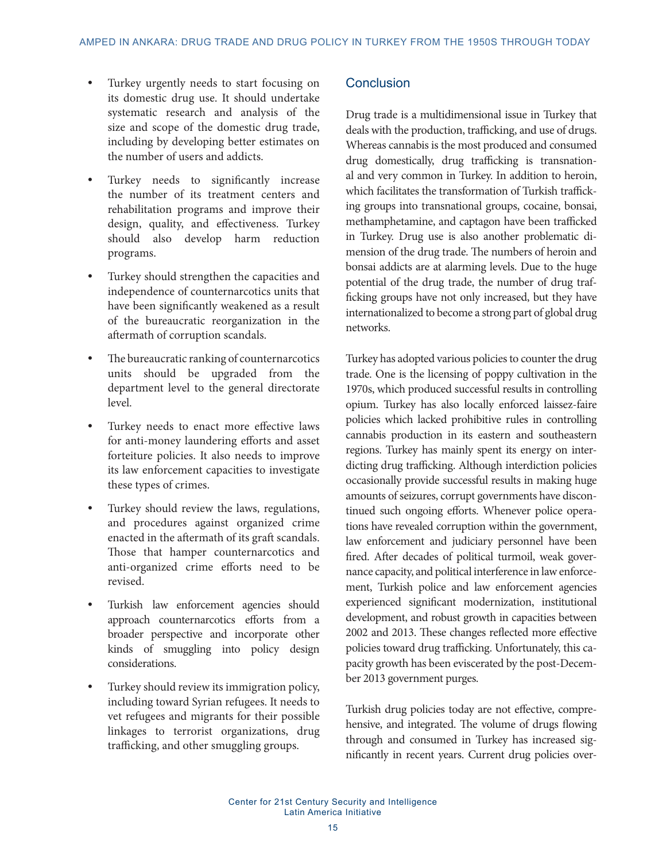- **•** Turkey urgently needs to start focusing on its domestic drug use. It should undertake systematic research and analysis of the size and scope of the domestic drug trade, including by developing better estimates on the number of users and addicts.
- Turkey needs to significantly increase the number of its treatment centers and rehabilitation programs and improve their design, quality, and effectiveness. Turkey should also develop harm reduction programs.
- **•** Turkey should strengthen the capacities and independence of counternarcotics units that have been significantly weakened as a result of the bureaucratic reorganization in the aftermath of corruption scandals.
- **•** The bureaucratic ranking of counternarcotics units should be upgraded from the department level to the general directorate level.
- **•** Turkey needs to enact more effective laws for anti-money laundering efforts and asset forteiture policies. It also needs to improve its law enforcement capacities to investigate these types of crimes.
- **•** Turkey should review the laws, regulations, and procedures against organized crime enacted in the aftermath of its graft scandals. Those that hamper counternarcotics and anti-organized crime efforts need to be revised.
- **•** Turkish law enforcement agencies should approach counternarcotics efforts from a broader perspective and incorporate other kinds of smuggling into policy design considerations.
- **•** Turkey should review its immigration policy, including toward Syrian refugees. It needs to vet refugees and migrants for their possible linkages to terrorist organizations, drug trafficking, and other smuggling groups.

## **Conclusion**

Drug trade is a multidimensional issue in Turkey that deals with the production, trafficking, and use of drugs. Whereas cannabis is the most produced and consumed drug domestically, drug trafficking is transnational and very common in Turkey. In addition to heroin, which facilitates the transformation of Turkish trafficking groups into transnational groups, cocaine, bonsai, methamphetamine, and captagon have been trafficked in Turkey. Drug use is also another problematic dimension of the drug trade. The numbers of heroin and bonsai addicts are at alarming levels. Due to the huge potential of the drug trade, the number of drug trafficking groups have not only increased, but they have internationalized to become a strong part of global drug networks.

Turkey has adopted various policies to counter the drug trade. One is the licensing of poppy cultivation in the 1970s, which produced successful results in controlling opium. Turkey has also locally enforced laissez-faire policies which lacked prohibitive rules in controlling cannabis production in its eastern and southeastern regions. Turkey has mainly spent its energy on interdicting drug trafficking. Although interdiction policies occasionally provide successful results in making huge amounts of seizures, corrupt governments have discontinued such ongoing efforts. Whenever police operations have revealed corruption within the government, law enforcement and judiciary personnel have been fired. After decades of political turmoil, weak governance capacity, and political interference in law enforcement, Turkish police and law enforcement agencies experienced significant modernization, institutional development, and robust growth in capacities between 2002 and 2013. These changes reflected more effective policies toward drug trafficking. Unfortunately, this capacity growth has been eviscerated by the post-December 2013 government purges.

Turkish drug policies today are not effective, comprehensive, and integrated. The volume of drugs flowing through and consumed in Turkey has increased significantly in recent years. Current drug policies over-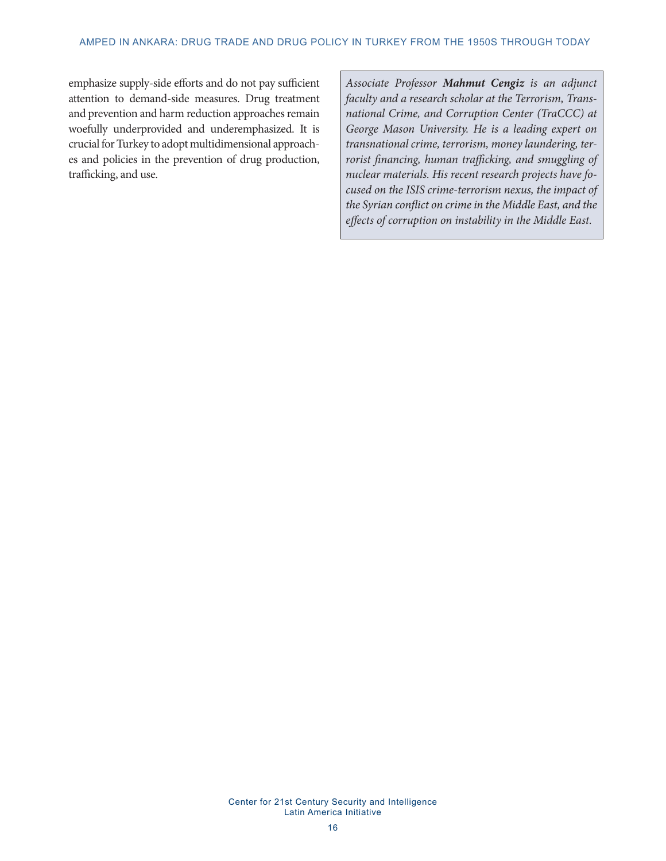emphasize supply-side efforts and do not pay sufficient attention to demand-side measures. Drug treatment and prevention and harm reduction approaches remain woefully underprovided and underemphasized. It is crucial for Turkey to adopt multidimensional approaches and policies in the prevention of drug production, trafficking, and use.

*Associate Professor Mahmut Cengiz is an adjunct faculty and a research scholar at the Terrorism, Transnational Crime, and Corruption Center (TraCCC) at George Mason University. He is a leading expert on transnational crime, terrorism, money laundering, terrorist financing, human trafficking, and smuggling of nuclear materials. His recent research projects have focused on the ISIS crime-terrorism nexus, the impact of the Syrian conflict on crime in the Middle East, and the effects of corruption on instability in the Middle East.*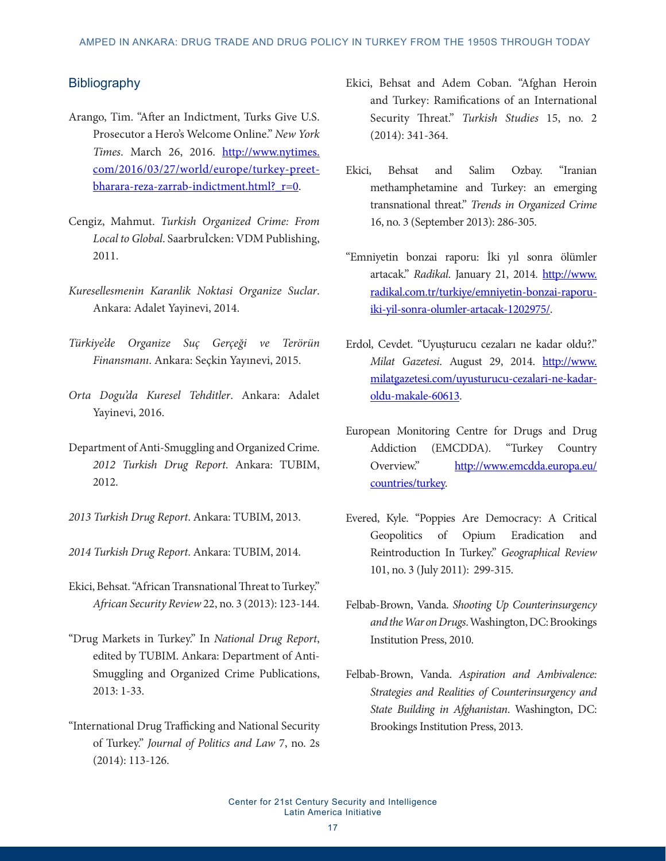## **Bibliography**

- Arango, Tim. "After an Indictment, Turks Give U.S. Prosecutor a Hero's Welcome Online." *New York Times*. March 26, 2016. [http://www.nytimes.](http://www.nytimes.com/2016/03/27/world/europe/turkey-preet-bharara-reza-zarrab-indictment.html?_r=0) [com/2016/03/27/world/europe/turkey-preet](http://www.nytimes.com/2016/03/27/world/europe/turkey-preet-bharara-reza-zarrab-indictment.html?_r=0)[bharara-reza-zarrab-indictment.html?\\_r=0.](http://www.nytimes.com/2016/03/27/world/europe/turkey-preet-bharara-reza-zarrab-indictment.html?_r=0)
- Cengiz, Mahmut. *Turkish Organized Crime: From Local to Global*. SaarbruÌcken: VDM Publishing, 2011.
- *Kuresellesmenin Karanlik Noktasi Organize Suclar*. Ankara: Adalet Yayinevi, 2014.
- *Türkiye'de Organize Suç Gerçeği ve Terörün Finansmanı*. Ankara: Seçkin Yayınevi, 2015.
- *Orta Dogu'da Kuresel Tehditler*. Ankara: Adalet Yayinevi, 2016.
- Department of Anti-Smuggling and Organized Crime. *2012 Turkish Drug Report*. Ankara: TUBIM, 2012.
- *2013 Turkish Drug Report*. Ankara: TUBIM, 2013.
- *2014 Turkish Drug Report*. Ankara: TUBIM, 2014.
- Ekici, Behsat. "African Transnational Threat to Turkey." *African Security Review* 22, no. 3 (2013): 123-144.
- "Drug Markets in Turkey." In *National Drug Report*, edited by TUBIM. Ankara: Department of Anti-Smuggling and Organized Crime Publications, 2013: 1-33.
- "International Drug Trafficking and National Security of Turkey." *Journal of Politics and Law* 7, no. 2s (2014): 113-126.
- Ekici, Behsat and Adem Coban. "Afghan Heroin and Turkey: Ramifications of an International Security Threat." *Turkish Studies* 15, no. 2 (2014): 341-364.
- Ekici, Behsat and Salim Ozbay. "Iranian methamphetamine and Turkey: an emerging transnational threat." *Trends in Organized Crime* 16, no. 3 (September 2013): 286-305.
- "Emniyetin bonzai raporu: İki yıl sonra ölümler artacak." *Radikal*. January 21, 2014. [http://www.](http://www.radikal.com.tr/turkiye/emniyetin-bonzai-raporu-iki-yil-sonra-olumler-artacak-1202975/) [radikal.com.tr/turkiye/emniyetin-bonzai-raporu](http://www.radikal.com.tr/turkiye/emniyetin-bonzai-raporu-iki-yil-sonra-olumler-artacak-1202975/)[iki-yil-sonra-olumler-artacak-1202975/.](http://www.radikal.com.tr/turkiye/emniyetin-bonzai-raporu-iki-yil-sonra-olumler-artacak-1202975/)
- Erdol, Cevdet. "Uyuşturucu cezaları ne kadar oldu?." *Milat Gazetesi*. August 29, 2014. [http://www.](http://www.milatgazetesi.com/uyusturucu-cezalari-ne-kadar-oldu-makale-60613) [milatgazetesi.com/uyusturucu-cezalari-ne-kadar](http://www.milatgazetesi.com/uyusturucu-cezalari-ne-kadar-oldu-makale-60613)[oldu-makale-60613](http://www.milatgazetesi.com/uyusturucu-cezalari-ne-kadar-oldu-makale-60613).
- European Monitoring Centre for Drugs and Drug Addiction (EMCDDA). "Turkey Country Overview." [http://www.emcdda.europa.eu/](http://www.emcdda.europa.eu/countries/turkey) [countries/turkey](http://www.emcdda.europa.eu/countries/turkey).
- Evered, Kyle. "Poppies Are Democracy: A Critical Geopolitics of Opium Eradication and Reintroduction In Turkey." *Geographical Review* 101, no. 3 (July 2011): 299-315.
- Felbab-Brown, Vanda. *Shooting Up Counterinsurgency and the War on Drugs*. Washington, DC: Brookings Institution Press, 2010.
- Felbab-Brown, Vanda. *Aspiration and Ambivalence: Strategies and Realities of Counterinsurgency and State Building in Afghanistan*. Washington, DC: Brookings Institution Press, 2013.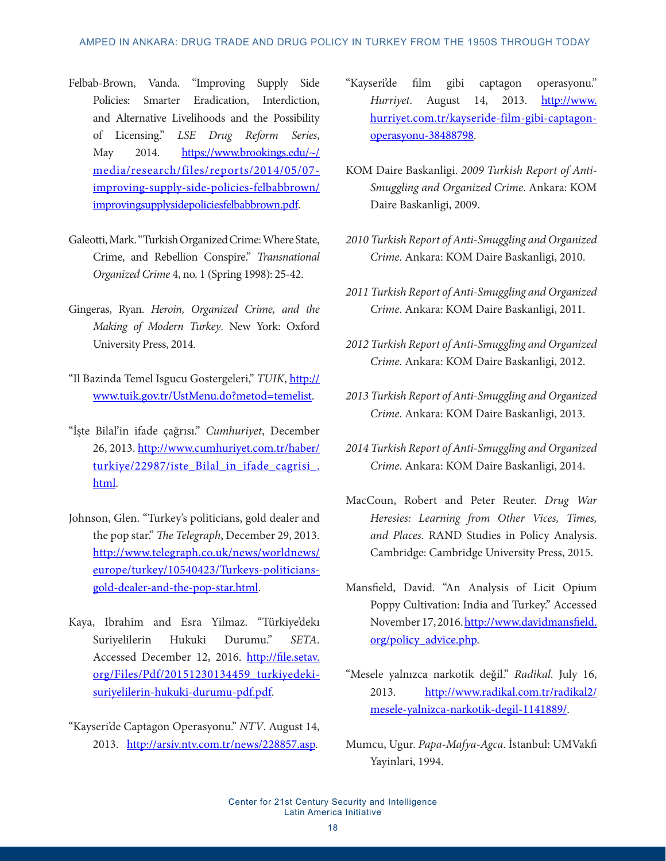- Felbab-Brown, Vanda. "Improving Supply Side Policies: Smarter Eradication, Interdiction, and Alternative Livelihoods and the Possibility of Licensing." *LSE Drug Reform Series*, May 2014. [https://www.brookings.edu/~/](https://www.brookings.edu/~/media/research/files/reports/2014/05/07-improving-supply-side-policies-felbabbrown/improvingsupplysidepoliciesfelbabbrown.pdf) [media/research/files/reports/2014/05/07](https://www.brookings.edu/~/media/research/files/reports/2014/05/07-improving-supply-side-policies-felbabbrown/improvingsupplysidepoliciesfelbabbrown.pdf) [improving-supply-side-policies-felbabbrown/](https://www.brookings.edu/~/media/research/files/reports/2014/05/07-improving-supply-side-policies-felbabbrown/improvingsupplysidepoliciesfelbabbrown.pdf) [improvingsupplysidepoliciesfelbabbrown.pdf](https://www.brookings.edu/~/media/research/files/reports/2014/05/07-improving-supply-side-policies-felbabbrown/improvingsupplysidepoliciesfelbabbrown.pdf).
- Galeotti, Mark. "Turkish Organized Crime: Where State, Crime, and Rebellion Conspire." *Transnational Organized Crime* 4, no. 1 (Spring 1998): 25-42.
- Gingeras, Ryan. *Heroin, Organized Crime, and the Making of Modern Turkey*. New York: Oxford University Press, 2014.
- "Il Bazinda Temel Isgucu Gostergeleri," *TUIK*, [http://](http://www.tuik.gov.tr/UstMenu.do?metod=temelist) [www.tuik.gov.tr/UstMenu.do?metod=temelist.](http://www.tuik.gov.tr/UstMenu.do?metod=temelist)
- "İşte Bilal'in ifade çağrısı." *Cumhuriyet*, December 26, 2013. [http://www.cumhuriyet.com.tr/haber/](http://www.cumhuriyet.com.tr/haber/turkiye/22987/iste_Bilal_in_ifade_cagrisi_.html) turkiye/22987/iste Bilal in ifade cagrisi. [html](http://www.cumhuriyet.com.tr/haber/turkiye/22987/iste_Bilal_in_ifade_cagrisi_.html).
- Johnson, Glen. "Turkey's politicians, gold dealer and the pop star." *The Telegraph*, December 29, 2013. [http://www.telegraph.co.uk/news/worldnews/](http://www.telegraph.co.uk/news/worldnews/europe/turkey/10540423/Turkeys-politicians-gold-dealer-and-the-pop-star.html) [europe/turkey/10540423/Turkeys-politicians](http://www.telegraph.co.uk/news/worldnews/europe/turkey/10540423/Turkeys-politicians-gold-dealer-and-the-pop-star.html)[gold-dealer-and-the-pop-star.html](http://www.telegraph.co.uk/news/worldnews/europe/turkey/10540423/Turkeys-politicians-gold-dealer-and-the-pop-star.html).
- Kaya, Ibrahim and Esra Yilmaz. "Türkiye'dekı Suriyelilerin Hukuki Durumu." *SETA*. Accessed December 12, 2016. [http://file.setav.](http://file.setav.org/Files/Pdf/20151230134459_turkiyedeki-suriyelilerin-hukuki-durumu-pdf.pdf) [org/Files/Pdf/20151230134459\\_turkiyedeki](http://file.setav.org/Files/Pdf/20151230134459_turkiyedeki-suriyelilerin-hukuki-durumu-pdf.pdf)[suriyelilerin-hukuki-durumu-pdf.pdf.](http://file.setav.org/Files/Pdf/20151230134459_turkiyedeki-suriyelilerin-hukuki-durumu-pdf.pdf)
- "Kayseri'de Captagon Operasyonu." *NTV*. August 14, 2013. [http://arsiv.ntv.com.tr/news/228857.asp.](http://arsiv.ntv.com.tr/news/228857.asp)
- "Kayseri'de film gibi captagon operasyonu." *Hurriyet*. August 14, 2013. [http://www.](http://www.hurriyet.com.tr/kayseride-film-gibi-captagon-operasyonu-38488798) [hurriyet.com.tr/kayseride-film-gibi-captagon](http://www.hurriyet.com.tr/kayseride-film-gibi-captagon-operasyonu-38488798)[operasyonu-38488798.](http://www.hurriyet.com.tr/kayseride-film-gibi-captagon-operasyonu-38488798)
- KOM Daire Baskanligi. *2009 Turkish Report of Anti-Smuggling and Organized Crime*. Ankara: KOM Daire Baskanligi, 2009.
- *2010 Turkish Report of Anti-Smuggling and Organized Crime*. Ankara: KOM Daire Baskanligi, 2010.
- *2011 Turkish Report of Anti-Smuggling and Organized Crime*. Ankara: KOM Daire Baskanligi, 2011.
- *2012 Turkish Report of Anti-Smuggling and Organized Crime*. Ankara: KOM Daire Baskanligi, 2012.
- *2013 Turkish Report of Anti-Smuggling and Organized Crime*. Ankara: KOM Daire Baskanligi, 2013.
- *2014 Turkish Report of Anti-Smuggling and Organized Crime*. Ankara: KOM Daire Baskanligi, 2014.
- MacCoun, Robert and Peter Reuter. *Drug War Heresies: Learning from Other Vices, Times, and Places*. RAND Studies in Policy Analysis. Cambridge: Cambridge University Press, 2015.
- Mansfield, David. "An Analysis of Licit Opium Poppy Cultivation: India and Turkey." Accessed November 17, 2016. [http://www.davidmansfield.](http://www.davidmansfield.org/policy_advice.php) [org/policy\\_advice.php](http://www.davidmansfield.org/policy_advice.php).
- "Mesele yalnızca narkotik değil." *Radikal*. July 16, 2013. [http://www.radikal.com.tr/radikal2/](http://www.radikal.com.tr/radikal2/mesele-yalnizca-narkotik-degil-1141889/) [mesele-yalnizca-narkotik-degil-1141889/](http://www.radikal.com.tr/radikal2/mesele-yalnizca-narkotik-degil-1141889/).
- Mumcu, Ugur. *Papa-Mafya-Agca*. İstanbul: UMVakfi Yayinlari, 1994.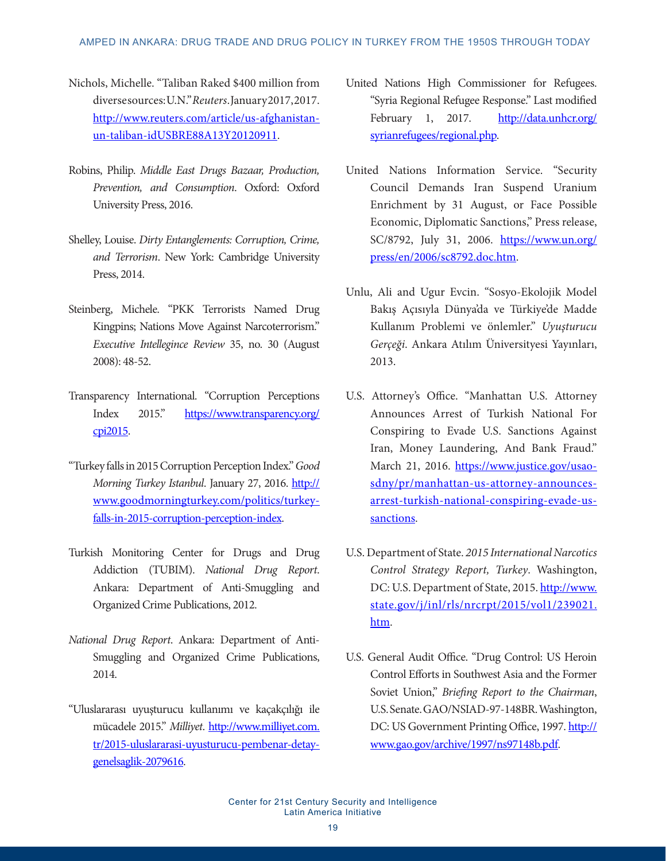#### AMPED IN ANKARA: DRUG TRADE AND DRUG POLICY IN TURKEY FROM THE 1950S THROUGH TODAY

- Nichols, Michelle. "Taliban Raked \$400 million from diverse sources: U.N." *Reuters*. January 2017, 2017. [http://www.reuters.com/article/us-afghanistan](http://www.reuters.com/article/us-afghanistan-un-taliban-idUSBRE88A13Y20120911)[un-taliban-idUSBRE88A13Y20120911.](http://www.reuters.com/article/us-afghanistan-un-taliban-idUSBRE88A13Y20120911)
- Robins, Philip. *Middle East Drugs Bazaar, Production, Prevention, and Consumption*. Oxford: Oxford University Press, 2016.
- Shelley, Louise. *Dirty Entanglements: Corruption, Crime, and Terrorism*. New York: Cambridge University Press, 2014.
- Steinberg, Michele. "PKK Terrorists Named Drug Kingpins; Nations Move Against Narcoterrorism." *Executive Intellegince Review* 35, no. 30 (August 2008): 48-52.
- Transparency International. "Corruption Perceptions Index 2015." [https://www.transparency.org/](https://www.transparency.org/cpi2015) [cpi2015.](https://www.transparency.org/cpi2015)
- "Turkey falls in 2015 Corruption Perception Index." *Good Morning Turkey Istanbul. January 27, 2016. [http://](http://www.goodmorningturkey.com/politics/turkey-falls-in-2015-corruption-perception-index)* [www.goodmorningturkey.com/politics/turkey](http://www.goodmorningturkey.com/politics/turkey-falls-in-2015-corruption-perception-index)[falls-in-2015-corruption-perception-index.](http://www.goodmorningturkey.com/politics/turkey-falls-in-2015-corruption-perception-index)
- Turkish Monitoring Center for Drugs and Drug Addiction (TUBIM). *National Drug Report*. Ankara: Department of Anti-Smuggling and Organized Crime Publications, 2012.
- *National Drug Report*. Ankara: Department of Anti-Smuggling and Organized Crime Publications, 2014.
- "Uluslararası uyuşturucu kullanımı ve kaçakçılığı ile mücadele 2015." *Milliyet*. [http://www.milliyet.com.](http://www.milliyet.com.tr/2015-uluslararasi-uyusturucu-pembenar-detay-genelsaglik-2079616) [tr/2015-uluslararasi-uyusturucu-pembenar-detay](http://www.milliyet.com.tr/2015-uluslararasi-uyusturucu-pembenar-detay-genelsaglik-2079616)[genelsaglik-2079616.](http://www.milliyet.com.tr/2015-uluslararasi-uyusturucu-pembenar-detay-genelsaglik-2079616)
- United Nations High Commissioner for Refugees. "Syria Regional Refugee Response." Last modified February 1, 2017. [http://data.unhcr.org/](http://data.unhcr.org/syrianrefugees/regional.php) [syrianrefugees/regional.php.](http://data.unhcr.org/syrianrefugees/regional.php)
- United Nations Information Service. "Security Council Demands Iran Suspend Uranium Enrichment by 31 August, or Face Possible Economic, Diplomatic Sanctions," Press release, SC/8792, July 31, 2006. [https://www.un.org/](https://www.un.org/press/en/2006/sc8792.doc.htm) [press/en/2006/sc8792.doc.htm.](https://www.un.org/press/en/2006/sc8792.doc.htm)
- Unlu, Ali and Ugur Evcin. "Sosyo-Ekolojik Model Bakış Açısıyla Dünya'da ve Türkiye'de Madde Kullanım Problemi ve önlemler." *Uyuşturucu Gerçeği*. Ankara Atılım Üniversityesi Yayınları, 2013.
- U.S. Attorney's Office. "Manhattan U.S. Attorney Announces Arrest of Turkish National For Conspiring to Evade U.S. Sanctions Against Iran, Money Laundering, And Bank Fraud." March 21, 2016. [https://www.justice.gov/usao](https://www.justice.gov/usao-sdny/pr/manhattan-us-attorney-announces-arrest-turkish-national-conspiring-evade-us-sanctions)[sdny/pr/manhattan-us-attorney-announces](https://www.justice.gov/usao-sdny/pr/manhattan-us-attorney-announces-arrest-turkish-national-conspiring-evade-us-sanctions)[arrest-turkish-national-conspiring-evade-us](https://www.justice.gov/usao-sdny/pr/manhattan-us-attorney-announces-arrest-turkish-national-conspiring-evade-us-sanctions)[sanctions.](https://www.justice.gov/usao-sdny/pr/manhattan-us-attorney-announces-arrest-turkish-national-conspiring-evade-us-sanctions)
- U.S. Department of State. *2015 International Narcotics Control Strategy Report, Turkey*. Washington, DC: U.S. Department of State, 2015. [http://www.](http://www.state.gov/j/inl/rls/nrcrpt/2015/vol1/239021.htm) [state.gov/j/inl/rls/nrcrpt/2015/vol1/239021.](http://www.state.gov/j/inl/rls/nrcrpt/2015/vol1/239021.htm) [htm.](http://www.state.gov/j/inl/rls/nrcrpt/2015/vol1/239021.htm)
- U.S. General Audit Office. "Drug Control: US Heroin Control Efforts in Southwest Asia and the Former Soviet Union," *Briefing Report to the Chairman*, U.S. Senate. GAO/NSIAD-97-148BR. Washington, DC: US Government Printing Office, 1997. [http://](http://www.gao.gov/archive/1997/ns97148b.pdf) [www.gao.gov/archive/1997/ns97148b.pdf](http://www.gao.gov/archive/1997/ns97148b.pdf).